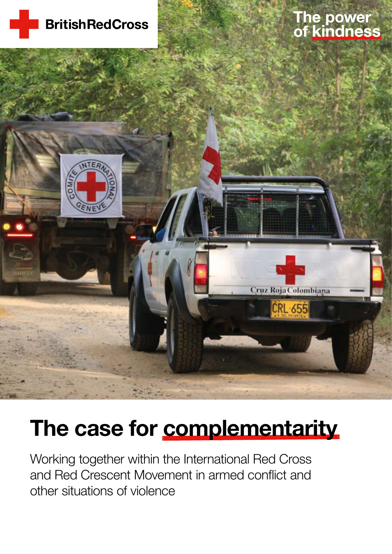

# The power<br>of kindness



# The case for complementarity

Working together within the International Red Cross and Red Crescent Movement in armed conflict and other situations of violence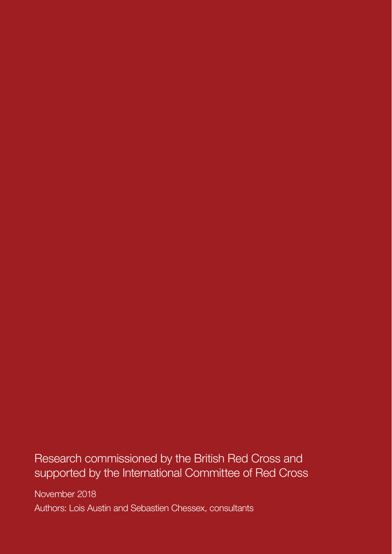Research commissioned by the British Red Cross and supported by the International Committee of Red Cross

November 2018 Authors: Lois Austin and Sebastien Chessex, consultants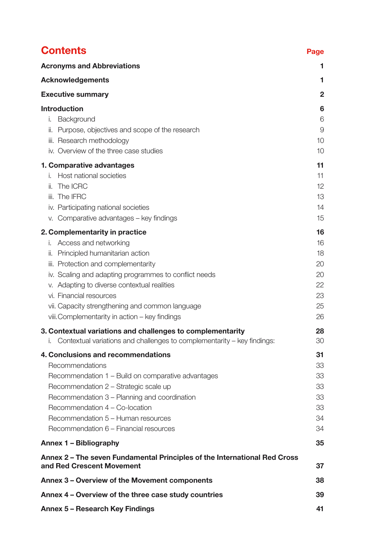| <b>Contents</b>                                                                                                                                                                                                                                                                                                                                                                      | Page                                               |
|--------------------------------------------------------------------------------------------------------------------------------------------------------------------------------------------------------------------------------------------------------------------------------------------------------------------------------------------------------------------------------------|----------------------------------------------------|
| <b>Acronyms and Abbreviations</b>                                                                                                                                                                                                                                                                                                                                                    | 1.                                                 |
| <b>Acknowledgements</b>                                                                                                                                                                                                                                                                                                                                                              | 1                                                  |
| <b>Executive summary</b>                                                                                                                                                                                                                                                                                                                                                             | 2                                                  |
| <b>Introduction</b><br>Background<br>Ι.<br>Purpose, objectives and scope of the research<br>II.<br>iii. Research methodology<br>iv. Overview of the three case studies                                                                                                                                                                                                               | 6<br>6<br>9<br>10<br>10                            |
| 1. Comparative advantages<br>Host national societies<br>İ.<br>The ICRC<br>II.<br>iii. The IFRC<br>iv. Participating national societies<br>Comparative advantages - key findings<br>V.                                                                                                                                                                                                | 11<br>11<br>12 <sup>°</sup><br>13<br>14<br>15      |
| 2. Complementarity in practice<br>Access and networking<br>Ι.<br>Principled humanitarian action<br>Ⅱ.<br>iii. Protection and complementarity<br>iv. Scaling and adapting programmes to conflict needs<br>v. Adapting to diverse contextual realities<br>vi. Financial resources<br>vii. Capacity strengthening and common language<br>viii. Complementarity in action - key findings | 16<br>16<br>18<br>20<br>20<br>22<br>23<br>25<br>26 |
| 3. Contextual variations and challenges to complementarity<br>Contextual variations and challenges to complementarity – key findings:                                                                                                                                                                                                                                                | 28<br>30                                           |
| 4. Conclusions and recommendations<br>Recommendations<br>Recommendation 1 - Build on comparative advantages<br>Recommendation 2 - Strategic scale up<br>Recommendation 3 – Planning and coordination<br>Recommendation 4 - Co-location<br>Recommendation 5 - Human resources<br>Recommendation 6 – Financial resources                                                               | 31<br>33<br>33<br>33<br>33<br>33<br>34<br>34       |
| Annex 1 - Bibliography                                                                                                                                                                                                                                                                                                                                                               | 35                                                 |
| Annex 2 – The seven Fundamental Principles of the International Red Cross<br>and Red Crescent Movement<br>37                                                                                                                                                                                                                                                                         |                                                    |
| Annex 3 – Overview of the Movement components                                                                                                                                                                                                                                                                                                                                        | 38                                                 |
| Annex 4 – Overview of the three case study countries                                                                                                                                                                                                                                                                                                                                 | 39                                                 |
| Annex 5 - Research Key Findings                                                                                                                                                                                                                                                                                                                                                      | 41                                                 |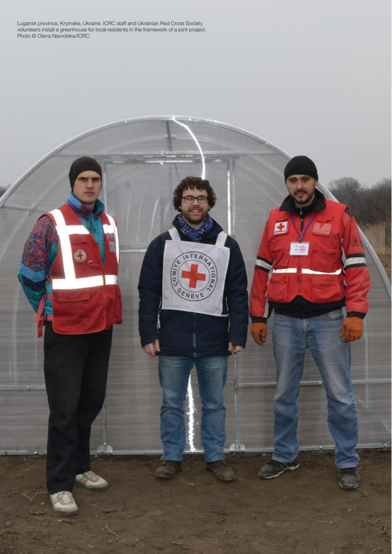Lugansk province, Krymske, Ukraine. ICRC staff and Ukrainian Red Cross Society volunteers install a greenhouse for local residents in the framework of a joint project. Photo © Olena Navrotska/ICRC.

Ø

INTER

ENEV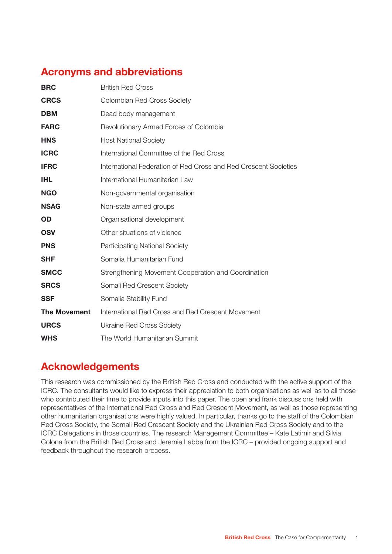# Acronyms and abbreviations

| <b>BRC</b>          | <b>British Red Cross</b>                                         |
|---------------------|------------------------------------------------------------------|
| <b>CRCS</b>         | Colombian Red Cross Society                                      |
| <b>DBM</b>          | Dead body management                                             |
| <b>FARC</b>         | Revolutionary Armed Forces of Colombia                           |
| <b>HNS</b>          | <b>Host National Society</b>                                     |
| <b>ICRC</b>         | International Committee of the Red Cross                         |
| <b>IFRC</b>         | International Federation of Red Cross and Red Crescent Societies |
| <b>IHL</b>          | International Humanitarian Law                                   |
| <b>NGO</b>          | Non-governmental organisation                                    |
| <b>NSAG</b>         | Non-state armed groups                                           |
| OD                  | Organisational development                                       |
| <b>OSV</b>          | Other situations of violence                                     |
| <b>PNS</b>          | <b>Participating National Society</b>                            |
| <b>SHF</b>          | Somalia Humanitarian Fund                                        |
| <b>SMCC</b>         | Strengthening Movement Cooperation and Coordination              |
| <b>SRCS</b>         | Somali Red Crescent Society                                      |
| <b>SSF</b>          | Somalia Stability Fund                                           |
| <b>The Movement</b> | International Red Cross and Red Crescent Movement                |
| <b>URCS</b>         | Ukraine Red Cross Society                                        |
| <b>WHS</b>          | The World Humanitarian Summit                                    |

# Acknowledgements

This research was commissioned by the British Red Cross and conducted with the active support of the ICRC. The consultants would like to express their appreciation to both organisations as well as to all those who contributed their time to provide inputs into this paper. The open and frank discussions held with representatives of the International Red Cross and Red Crescent Movement, as well as those representing other humanitarian organisations were highly valued. In particular, thanks go to the staff of the Colombian Red Cross Society, the Somali Red Crescent Society and the Ukrainian Red Cross Society and to the ICRC Delegations in those countries. The research Management Committee – Kate Latimir and Silvia Colona from the British Red Cross and Jeremie Labbe from the ICRC – provided ongoing support and feedback throughout the research process.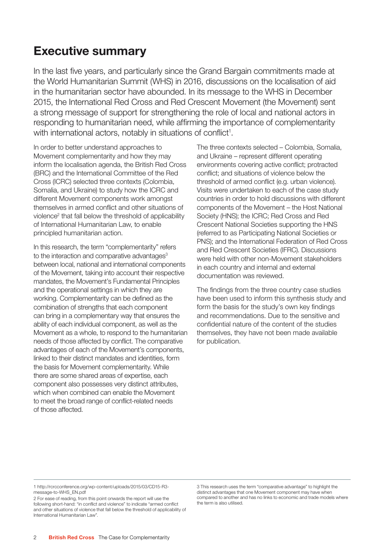# Executive summary

In the last five years, and particularly since the Grand Bargain commitments made at the World Humanitarian Summit (WHS) in 2016, discussions on the localisation of aid in the humanitarian sector have abounded. In its message to the WHS in December 2015, the International Red Cross and Red Crescent Movement (the Movement) sent a strong message of support for strengthening the role of local and national actors in responding to humanitarian need, while affirming the importance of complementarity with international actors, notably in situations of conflict<sup>1</sup>.

In order to better understand approaches to Movement complementarity and how they may inform the localisation agenda, the British Red Cross (BRC) and the International Committee of the Red Cross (ICRC) selected three contexts (Colombia, Somalia, and Ukraine) to study how the ICRC and different Movement components work amongst themselves in armed conflict and other situations of violence<sup>2</sup> that fall below the threshold of applicability of International Humanitarian Law, to enable principled humanitarian action.

In this research, the term "complementarity" refers to the interaction and comparative advantages $3$ between local, national and international components of the Movement, taking into account their respective mandates, the Movement's Fundamental Principles and the operational settings in which they are working. Complementarity can be defined as the combination of strengths that each component can bring in a complementary way that ensures the ability of each individual component, as well as the Movement as a whole, to respond to the humanitarian needs of those affected by conflict. The comparative advantages of each of the Movement's components, linked to their distinct mandates and identities, form the basis for Movement complementarity. While there are some shared areas of expertise, each component also possesses very distinct attributes, which when combined can enable the Movement to meet the broad range of conflict-related needs of those affected.

The three contexts selected – Colombia, Somalia, and Ukraine – represent different operating environments covering active conflict; protracted conflict; and situations of violence below the threshold of armed conflict (e.g. urban violence). Visits were undertaken to each of the case study countries in order to hold discussions with different components of the Movement – the Host National Society (HNS); the ICRC; Red Cross and Red Crescent National Societies supporting the HNS (referred to as Participating National Societies or PNS); and the International Federation of Red Cross and Red Crescent Societies (IFRC). Discussions were held with other non-Movement stakeholders in each country and internal and external documentation was reviewed.

The findings from the three country case studies have been used to inform this synthesis study and form the basis for the study's own key findings and recommendations. Due to the sensitive and confidential nature of the content of the studies themselves, they have not been made available for publication.

<sup>1</sup> http://rcrcconference.org/wp-content/uploads/2015/03/CD15-R3 message-to-WHS\_EN.pdf

<sup>2</sup> For ease of reading, from this point onwards the report will use the following short-hand: "in conflict and violence" to indicate "armed conflict and other situations of violence that fall below the threshold of applicability of International Humanitarian Law".

<sup>3</sup> This research uses the term "comparative advantage" to highlight the distinct advantages that one Movement component may have when compared to another and has no links to economic and trade models where the term is also utilised.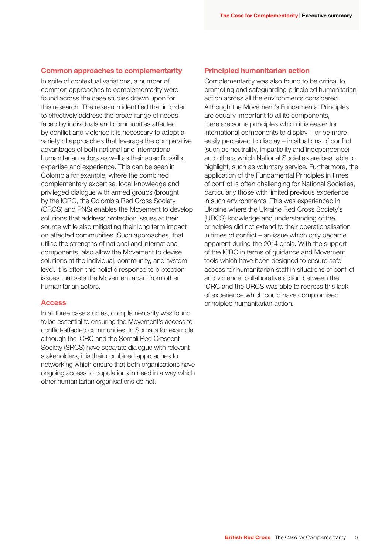#### Common approaches to complementarity

In spite of contextual variations, a number of common approaches to complementarity were found across the case studies drawn upon for this research. The research identified that in order to effectively address the broad range of needs faced by individuals and communities affected by conflict and violence it is necessary to adopt a variety of approaches that leverage the comparative advantages of both national and international humanitarian actors as well as their specific skills, expertise and experience. This can be seen in Colombia for example, where the combined complementary expertise, local knowledge and privileged dialogue with armed groups (brought by the ICRC, the Colombia Red Cross Society (CRCS) and PNS) enables the Movement to develop solutions that address protection issues at their source while also mitigating their long term impact on affected communities. Such approaches, that utilise the strengths of national and international components, also allow the Movement to devise solutions at the individual, community, and system level. It is often this holistic response to protection issues that sets the Movement apart from other humanitarian actors.

#### Access

In all three case studies, complementarity was found to be essential to ensuring the Movement's access to conflict-affected communities. In Somalia for example, although the ICRC and the Somali Red Crescent Society (SRCS) have separate dialogue with relevant stakeholders, it is their combined approaches to networking which ensure that both organisations have ongoing access to populations in need in a way which other humanitarian organisations do not.

#### Principled humanitarian action

Complementarity was also found to be critical to promoting and safeguarding principled humanitarian action across all the environments considered. Although the Movement's Fundamental Principles are equally important to all its components, there are some principles which it is easier for international components to display – or be more easily perceived to display – in situations of conflict (such as neutrality, impartiality and independence) and others which National Societies are best able to highlight, such as voluntary service. Furthermore, the application of the Fundamental Principles in times of conflict is often challenging for National Societies, particularly those with limited previous experience in such environments. This was experienced in Ukraine where the Ukraine Red Cross Society's (URCS) knowledge and understanding of the principles did not extend to their operationalisation in times of conflict – an issue which only became apparent during the 2014 crisis. With the support of the ICRC in terms of guidance and Movement tools which have been designed to ensure safe access for humanitarian staff in situations of conflict and violence, collaborative action between the ICRC and the URCS was able to redress this lack of experience which could have compromised principled humanitarian action.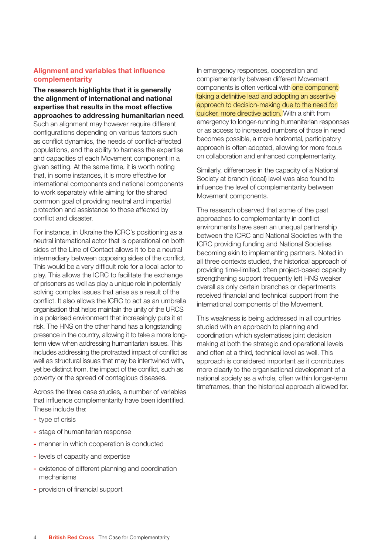#### Alignment and variables that influence complementarity

The research highlights that it is generally the alignment of international and national expertise that results in the most effective approaches to addressing humanitarian need. Such an alignment may however require different configurations depending on various factors such as conflict dynamics, the needs of conflict-affected populations, and the ability to harness the expertise and capacities of each Movement component in a given setting. At the same time, it is worth noting that, in some instances, it is more effective for international components and national components to work separately while aiming for the shared common goal of providing neutral and impartial protection and assistance to those affected by conflict and disaster.

For instance, in Ukraine the ICRC's positioning as a neutral international actor that is operational on both sides of the Line of Contact allows it to be a neutral intermediary between opposing sides of the conflict. This would be a very difficult role for a local actor to play. This allows the ICRC to facilitate the exchange of prisoners as well as play a unique role in potentially solving complex issues that arise as a result of the conflict. It also allows the ICRC to act as an umbrella organisation that helps maintain the unity of the URCS in a polarised environment that increasingly puts it at risk. The HNS on the other hand has a longstanding presence in the country, allowing it to take a more longterm view when addressing humanitarian issues. This includes addressing the protracted impact of conflict as well as structural issues that may be intertwined with, yet be distinct from, the impact of the conflict, such as poverty or the spread of contagious diseases.

Across the three case studies, a number of variables that influence complementarity have been identified. These include the:

- type of crisis
- stage of humanitarian response
- manner in which cooperation is conducted
- levels of capacity and expertise
- existence of different planning and coordination mechanisms
- provision of financial support

In emergency responses, cooperation and complementarity between different Movement components is often vertical with one component taking a definitive lead and adopting an assertive approach to decision-making due to the need for quicker, more directive action. With a shift from emergency to longer-running humanitarian responses or as access to increased numbers of those in need becomes possible, a more horizontal, participatory approach is often adopted, allowing for more focus on collaboration and enhanced complementarity.

Similarly, differences in the capacity of a National Society at branch (local) level was also found to influence the level of complementarity between Movement components.

The research observed that some of the past approaches to complementarity in conflict environments have seen an unequal partnership between the ICRC and National Societies with the ICRC providing funding and National Societies becoming akin to implementing partners. Noted in all three contexts studied, the historical approach of providing time-limited, often project-based capacity strengthening support frequently left HNS weaker overall as only certain branches or departments received financial and technical support from the international components of the Movement.

This weakness is being addressed in all countries studied with an approach to planning and coordination which systematises joint decision making at both the strategic and operational levels and often at a third, technical level as well. This approach is considered important as it contributes more clearly to the organisational development of a national society as a whole, often within longer-term timeframes, than the historical approach allowed for.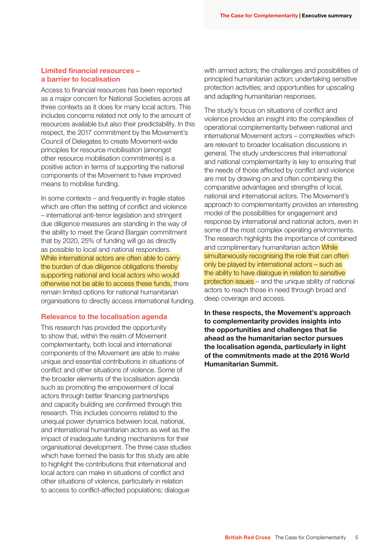#### Limited financial resources – a barrier to localisation

Access to financial resources has been reported as a major concern for National Societies across all three contexts as it does for many local actors. This includes concerns related not only to the amount of resources available but also their predictability. In this respect, the 2017 commitment by the Movement's Council of Delegates to create Movement-wide principles for resource mobilisation (amongst other resource mobilisation commitments) is a positive action in terms of supporting the national components of the Movement to have improved means to mobilise funding.

In some contexts – and frequently in fragile states which are often the setting of conflict and violence – international anti-terror legislation and stringent due diligence measures are standing in the way of the ability to meet the Grand Bargain commitment that by 2020, 25% of funding will go as directly as possible to local and national responders. While international actors are often able to carry the burden of due diligence obligations thereby supporting national and local actors who would otherwise not be able to access these funds, there remain limited options for national humanitarian organisations to directly access international funding.

#### Relevance to the localisation agenda

This research has provided the opportunity to show that, within the realm of Movement complementarity, both local and international components of the Movement are able to make unique and essential contributions in situations of conflict and other situations of violence. Some of the broader elements of the localisation agenda such as promoting the empowerment of local actors through better financing partnerships and capacity building are confirmed through this research. This includes concerns related to the unequal power dynamics between local, national, and international humanitarian actors as well as the impact of inadequate funding mechanisms for their organisational development. The three case studies which have formed the basis for this study are able to highlight the contributions that international and local actors can make in situations of conflict and other situations of violence, particularly in relation to access to conflict-affected populations; dialogue

with armed actors; the challenges and possibilities of principled humanitarian action; undertaking sensitive protection activities; and opportunities for upscaling and adapting humanitarian responses.

The study's focus on situations of conflict and violence provides an insight into the complexities of operational complementarity between national and international Movement actors – complexities which are relevant to broader localisation discussions in general. The study underscores that international and national complementarity is key to ensuring that the needs of those affected by conflict and violence are met by drawing on and often combining the comparative advantages and strengths of local, national and international actors. The Movement's approach to complementarity provides an interesting model of the possibilities for engagement and response by international and national actors, even in some of the most complex operating environments. The research highlights the importance of combined and complimentary humanitarian action While simultaneously recognising the role that can often only be played by international actors – such as the ability to have dialogue in relation to sensitive protection issues – and the unique ability of national actors to reach those in need through broad and deep coverage and access.

In these respects, the Movement's approach to complementarity provides insights into the opportunities and challenges that lie ahead as the humanitarian sector pursues the localisation agenda, particularly in light of the commitments made at the 2016 World Humanitarian Summit.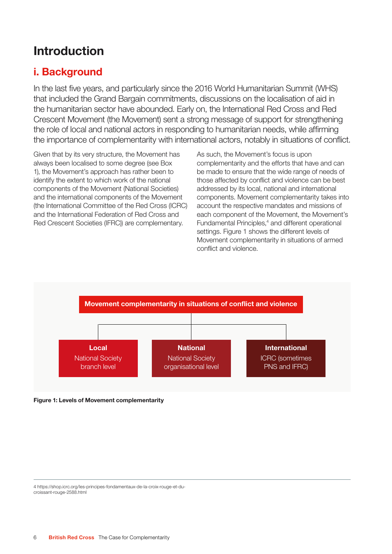# Introduction

# i. Background

In the last five years, and particularly since the 2016 World Humanitarian Summit (WHS) that included the Grand Bargain commitments, discussions on the localisation of aid in the humanitarian sector have abounded. Early on, the International Red Cross and Red Crescent Movement (the Movement) sent a strong message of support for strengthening the role of local and national actors in responding to humanitarian needs, while affirming the importance of complementarity with international actors, notably in situations of conflict.

Given that by its very structure, the Movement has always been localised to some degree (see Box 1), the Movement's approach has rather been to identify the extent to which work of the national components of the Movement (National Societies) and the international components of the Movement (the International Committee of the Red Cross (ICRC) and the International Federation of Red Cross and Red Crescent Societies (IFRC)) are complementary.

As such, the Movement's focus is upon complementarity and the efforts that have and can be made to ensure that the wide range of needs of those affected by conflict and violence can be best addressed by its local, national and international components. Movement complementarity takes into account the respective mandates and missions of each component of the Movement, the Movement's Fundamental Principles,<sup>4</sup> and different operational settings. Figure 1 shows the different levels of Movement complementarity in situations of armed conflict and violence.



Figure 1: Levels of Movement complementarity

4 https://shop.icrc.org/les-principes-fondamentaux-de-la-croix-rouge-et-ducroissant-rouge-2588.html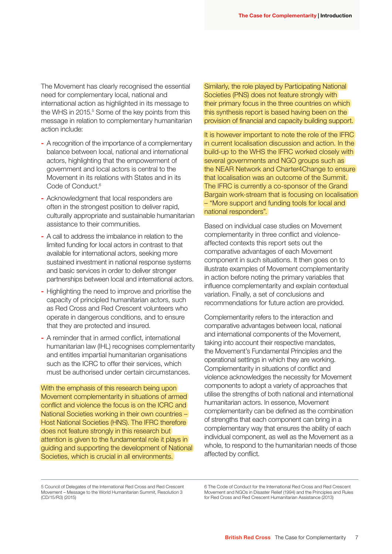The Movement has clearly recognised the essential need for complementary local, national and international action as highlighted in its message to the WHS in 2015.<sup>5</sup> Some of the key points from this message in relation to complementary humanitarian action include:

- A recognition of the importance of a complementary balance between local, national and international actors, highlighting that the empowerment of government and local actors is central to the Movement in its relations with States and in its Code of Conduct.<sup>6</sup>
- Acknowledgment that local responders are often in the strongest position to deliver rapid, culturally appropriate and sustainable humanitarian assistance to their communities.
- A call to address the imbalance in relation to the limited funding for local actors in contrast to that available for international actors, seeking more sustained investment in national response systems and basic services in order to deliver stronger partnerships between local and international actors.
- Highlighting the need to improve and prioritise the capacity of principled humanitarian actors, such as Red Cross and Red Crescent volunteers who operate in dangerous conditions, and to ensure that they are protected and insured.
- A reminder that in armed conflict, international humanitarian law (IHL) recognises complementarity and entitles impartial humanitarian organisations such as the ICRC to offer their services, which must be authorised under certain circumstances.

With the emphasis of this research being upon Movement complementarity in situations of armed conflict and violence the focus is on the ICRC and National Societies working in their own countries – Host National Societies (HNS). The IFRC therefore does not feature strongly in this research but attention is given to the fundamental role it plays in guiding and supporting the development of National Societies, which is crucial in all environments.

Similarly, the role played by Participating National Societies (PNS) does not feature strongly with their primary focus in the three countries on which this synthesis report is based having been on the provision of financial and capacity building support.

It is however important to note the role of the IFRC in current localisation discussion and action. In the build-up to the WHS the IFRC worked closely with several governments and NGO groups such as the NEAR Network and Charter4Change to ensure that localisation was an outcome of the Summit. The IFRC is currently a co-sponsor of the Grand Bargain work-stream that is focusing on localisation – "More support and funding tools for local and national responders".

Based on individual case studies on Movement complementarity in three conflict and violenceaffected contexts this report sets out the comparative advantages of each Movement component in such situations. It then goes on to illustrate examples of Movement complementarity in action before noting the primary variables that influence complementarity and explain contextual variation. Finally, a set of conclusions and recommendations for future action are provided.

Complementarity refers to the interaction and comparative advantages between local, national and international components of the Movement, taking into account their respective mandates, the Movement's Fundamental Principles and the operational settings in which they are working. Complementarity in situations of conflict and violence acknowledges the necessity for Movement components to adopt a variety of approaches that utilise the strengths of both national and international humanitarian actors. In essence, Movement complementarity can be defined as the combination of strengths that each component can bring in a complementary way that ensures the ability of each individual component, as well as the Movement as a whole, to respond to the humanitarian needs of those affected by conflict.

6 The Code of Conduct for the International Red Cross and Red Crescent Movement and NGOs in Disaster Relief (1994) and the Principles and Rules for Red Cross and Red Crescent Humanitarian Assistance (2013)

<sup>5</sup> Council of Delegates of the International Red Cross and Red Crescent Movement – Message to the World Humanitarian Summit, Resolution 3 (CD/15/R3) (2015)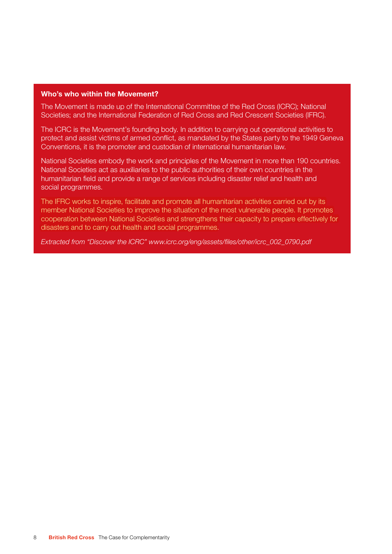#### Who's who within the Movement?

The Movement is made up of the International Committee of the Red Cross (ICRC); National Societies; and the International Federation of Red Cross and Red Crescent Societies (IFRC).

The ICRC is the Movement's founding body. In addition to carrying out operational activities to protect and assist victims of armed conflict, as mandated by the States party to the 1949 Geneva Conventions, it is the promoter and custodian of international humanitarian law.

National Societies embody the work and principles of the Movement in more than 190 countries. National Societies act as auxiliaries to the public authorities of their own countries in the humanitarian field and provide a range of services including disaster relief and health and social programmes.

The IFRC works to inspire, facilitate and promote all humanitarian activities carried out by its member National Societies to improve the situation of the most vulnerable people. It promotes cooperation between National Societies and strengthens their capacity to prepare effectively for disasters and to carry out health and social programmes.

Extracted from "Discover the ICRC" www.icrc.org/eng/assets/files/other/icrc\_002\_0790.pdf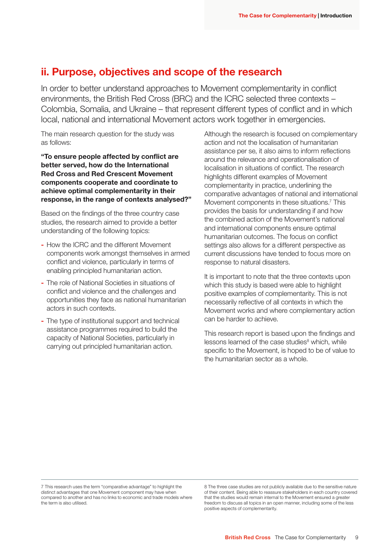## ii. Purpose, objectives and scope of the research

In order to better understand approaches to Movement complementarity in conflict environments, the British Red Cross (BRC) and the ICRC selected three contexts – Colombia, Somalia, and Ukraine – that represent different types of conflict and in which local, national and international Movement actors work together in emergencies.

The main research question for the study was as follows:

"To ensure people affected by conflict are better served, how do the International Red Cross and Red Crescent Movement components cooperate and coordinate to achieve optimal complementarity in their response, in the range of contexts analysed?"

Based on the findings of the three country case studies, the research aimed to provide a better understanding of the following topics:

- How the ICRC and the different Movement components work amongst themselves in armed conflict and violence, particularly in terms of enabling principled humanitarian action.
- The role of National Societies in situations of conflict and violence and the challenges and opportunities they face as national humanitarian actors in such contexts.
- The type of institutional support and technical assistance programmes required to build the capacity of National Societies, particularly in carrying out principled humanitarian action.

Although the research is focused on complementary action and not the localisation of humanitarian assistance per se, it also aims to inform reflections around the relevance and operationalisation of localisation in situations of conflict. The research highlights different examples of Movement complementarity in practice, underlining the comparative advantages of national and international Movement components in these situations.<sup>7</sup> This provides the basis for understanding if and how the combined action of the Movement's national and international components ensure optimal humanitarian outcomes. The focus on conflict settings also allows for a different perspective as current discussions have tended to focus more on response to natural disasters.

It is important to note that the three contexts upon which this study is based were able to highlight positive examples of complementarity. This is not necessarily reflective of all contexts in which the Movement works and where complementary action can be harder to achieve.

This research report is based upon the findings and lessons learned of the case studies<sup>8</sup> which, while specific to the Movement, is hoped to be of value to the humanitarian sector as a whole.

7 This research uses the term "comparative advantage" to highlight the distinct advantages that one Movement component may have when compared to another and has no links to economic and trade models where the term is also utilised.

8 The three case studies are not publicly available due to the sensitive nature of their content. Being able to reassure stakeholders in each country covered that the studies would remain internal to the Movement ensured a greater freedom to discuss all topics in an open manner, including some of the less positive aspects of complementarity.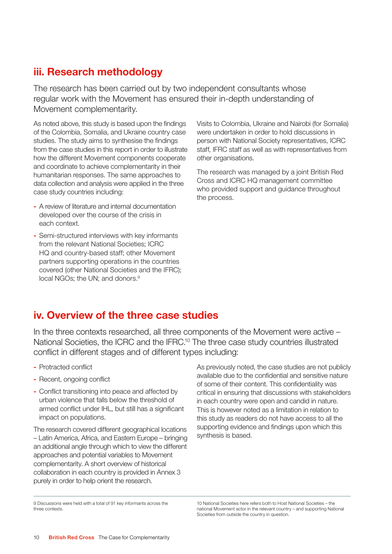### iii. Research methodology

The research has been carried out by two independent consultants whose regular work with the Movement has ensured their in-depth understanding of Movement complementarity.

As noted above, this study is based upon the findings of the Colombia, Somalia, and Ukraine country case studies. The study aims to synthesise the findings from the case studies in this report in order to illustrate how the different Movement components cooperate and coordinate to achieve complementarity in their humanitarian responses. The same approaches to data collection and analysis were applied in the three case study countries including:

- A review of literature and internal documentation developed over the course of the crisis in each context.
- Semi-structured interviews with key informants from the relevant National Societies; ICRC HQ and country-based staff; other Movement partners supporting operations in the countries covered (other National Societies and the IFRC); local NGOs; the UN; and donors.<sup>9</sup>

Visits to Colombia, Ukraine and Nairobi (for Somalia) were undertaken in order to hold discussions in person with National Society representatives, ICRC staff, IFRC staff as well as with representatives from other organisations.

The research was managed by a joint British Red Cross and ICRC HQ management committee who provided support and guidance throughout the process.

## iv. Overview of the three case studies

In the three contexts researched, all three components of the Movement were active – National Societies, the ICRC and the IFRC.10 The three case study countries illustrated conflict in different stages and of different types including:

- Protracted conflict
- Recent, ongoing conflict
- Conflict transitioning into peace and affected by urban violence that falls below the threshold of armed conflict under IHL, but still has a significant impact on populations.

The research covered different geographical locations – Latin America, Africa, and Eastern Europe – bringing an additional angle through which to view the different approaches and potential variables to Movement complementarity. A short overview of historical collaboration in each country is provided in Annex 3 purely in order to help orient the research.

As previously noted, the case studies are not publicly available due to the confidential and sensitive nature of some of their content. This confidentiality was critical in ensuring that discussions with stakeholders in each country were open and candid in nature. This is however noted as a limitation in relation to this study as readers do not have access to all the supporting evidence and findings upon which this synthesis is based.

<sup>9</sup> Discussions were held with a total of 91 key informants across the three contexts.

<sup>10</sup> National Societies here refers both to Host National Societies – the national Movement actor in the relevant country – and supporting National Societies from outside the country in question.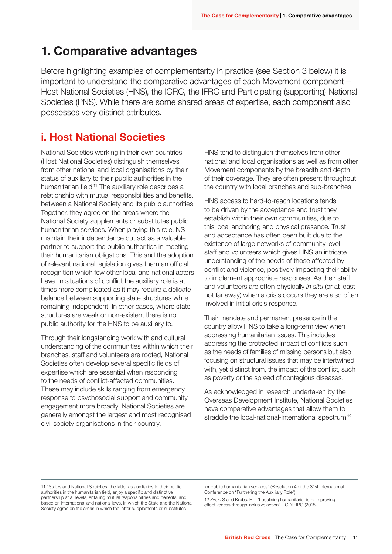# 1. Comparative advantages

Before highlighting examples of complementarity in practice (see Section 3 below) it is important to understand the comparative advantages of each Movement component – Host National Societies (HNS), the ICRC, the IFRC and Participating (supporting) National Societies (PNS). While there are some shared areas of expertise, each component also possesses very distinct attributes.

# i. Host National Societies

National Societies working in their own countries (Host National Societies) distinguish themselves from other national and local organisations by their status of auxiliary to their public authorities in the humanitarian field.<sup>11</sup> The auxiliary role describes a relationship with mutual responsibilities and benefits, between a National Society and its public authorities. Together, they agree on the areas where the National Society supplements or substitutes public humanitarian services. When playing this role, NS maintain their independence but act as a valuable partner to support the public authorities in meeting their humanitarian obligations. This and the adoption of relevant national legislation gives them an official recognition which few other local and national actors have. In situations of conflict the auxiliary role is at times more complicated as it may require a delicate balance between supporting state structures while remaining independent. In other cases, where state structures are weak or non-existent there is no public authority for the HNS to be auxiliary to.

Through their longstanding work with and cultural understanding of the communities within which their branches, staff and volunteers are rooted, National Societies often develop several specific fields of expertise which are essential when responding to the needs of conflict-affected communities. These may include skills ranging from emergency response to psychosocial support and community engagement more broadly. National Societies are generally amongst the largest and most recognised civil society organisations in their country.

HNS tend to distinguish themselves from other national and local organisations as well as from other Movement components by the breadth and depth of their coverage. They are often present throughout the country with local branches and sub-branches.

HNS access to hard-to-reach locations tends to be driven by the acceptance and trust they establish within their own communities, due to this local anchoring and physical presence. Trust and acceptance has often been built due to the existence of large networks of community level staff and volunteers which gives HNS an intricate understanding of the needs of those affected by conflict and violence, positively impacting their ability to implement appropriate responses. As their staff and volunteers are often physically in situ (or at least not far away) when a crisis occurs they are also often involved in initial crisis response.

Their mandate and permanent presence in the country allow HNS to take a long-term view when addressing humanitarian issues. This includes addressing the protracted impact of conflicts such as the needs of families of missing persons but also focusing on structural issues that may be intertwined with, yet distinct from, the impact of the conflict, such as poverty or the spread of contagious diseases.

As acknowledged in research undertaken by the Overseas Development Institute, National Societies have comparative advantages that allow them to straddle the local-national-international spectrum.<sup>12</sup>

11 "States and National Societies, the latter as auxiliaries to their public authorities in the humanitarian field, enjoy a specific and distinctive partnership at all levels, entailing mutual responsibilities and benefits, and based on international and national laws, in which the State and the National Society agree on the areas in which the latter supplements or substitutes

for public humanitarian services" (Resolution 4 of the 31st International Conference on "Furthering the Auxiliary Role")

12 Zyck. S and Krebs. H – "Localising humanitarianism: improving effectiveness through inclusive action" – ODI HPG (2015)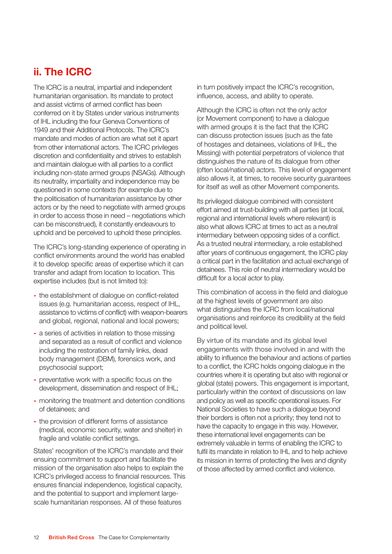# ii. The ICRC

The ICRC is a neutral, impartial and independent humanitarian organisation. Its mandate to protect and assist victims of armed conflict has been conferred on it by States under various instruments of IHL including the four Geneva Conventions of 1949 and their Additional Protocols. The ICRC's mandate and modes of action are what set it apart from other international actors. The ICRC privileges discretion and confidentiality and strives to establish and maintain dialogue with all parties to a conflict including non-state armed groups (NSAGs). Although its neutrality, impartiality and independence may be questioned in some contexts (for example due to the politicisation of humanitarian assistance by other actors or by the need to negotiate with armed groups in order to access those in need – negotiations which can be misconstrued), it constantly endeavours to uphold and be perceived to uphold these principles.

The ICRC's long-standing experience of operating in conflict environments around the world has enabled it to develop specific areas of expertise which it can transfer and adapt from location to location. This expertise includes (but is not limited to):

- the establishment of dialogue on conflict-related issues (e.g. humanitarian access, respect of IHL, assistance to victims of conflict) with weapon-bearers and global, regional, national and local powers;
- a series of activities in relation to those missing and separated as a result of conflict and violence including the restoration of family links, dead body management (DBM), forensics work, and psychosocial support;
- preventative work with a specific focus on the development, dissemination and respect of IHL;
- monitoring the treatment and detention conditions of detainees; and
- the provision of different forms of assistance (medical, economic security, water and shelter) in fragile and volatile conflict settings.

States' recognition of the ICRC's mandate and their ensuing commitment to support and facilitate the mission of the organisation also helps to explain the ICRC's privileged access to financial resources. This ensures financial independence, logistical capacity, and the potential to support and implement largescale humanitarian responses. All of these features

in turn positively impact the ICRC's recognition, influence, access, and ability to operate.

Although the ICRC is often not the only actor (or Movement component) to have a dialogue with armed groups it is the fact that the ICRC can discuss protection issues (such as the fate of hostages and detainees, violations of IHL, the Missing) with potential perpetrators of violence that distinguishes the nature of its dialogue from other (often local/national) actors. This level of engagement also allows it, at times, to receive security guarantees for itself as well as other Movement components.

Its privileged dialogue combined with consistent effort aimed at trust-building with all parties (at local, regional and international levels where relevant) is also what allows ICRC at times to act as a neutral intermediary between opposing sides of a conflict. As a trusted neutral intermediary, a role established after years of continuous engagement, the ICRC play a critical part in the facilitation and actual exchange of detainees. This role of neutral intermediary would be difficult for a local actor to play.

This combination of access in the field and dialogue at the highest levels of government are also what distinguishes the ICRC from local/national organisations and reinforce its credibility at the field and political level.

By virtue of its mandate and its global level engagements with those involved in and with the ability to influence the behaviour and actions of parties to a conflict, the ICRC holds ongoing dialogue in the countries where it is operating but also with regional or global (state) powers. This engagement is important, particularly within the context of discussions on law and policy as well as specific operational issues. For National Societies to have such a dialogue beyond their borders is often not a priority; they tend not to have the capacity to engage in this way. However, these international level engagements can be extremely valuable in terms of enabling the ICRC to fulfil its mandate in relation to IHL and to help achieve its mission in terms of protecting the lives and dignity of those affected by armed conflict and violence.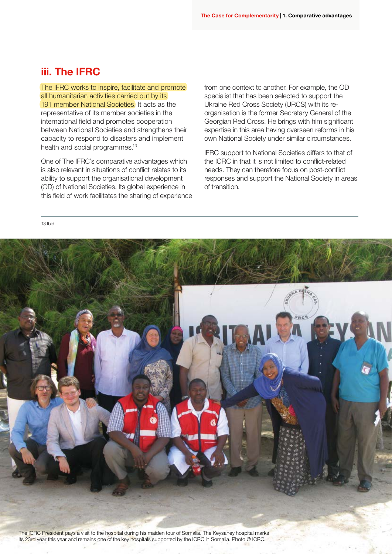### iii. The IFRC

The IFRC works to inspire, facilitate and promote all humanitarian activities carried out by its 191 member National Societies. It acts as the representative of its member societies in the international field and promotes cooperation between National Societies and strengthens their capacity to respond to disasters and implement health and social programmes.<sup>13</sup>

One of The IFRC's comparative advantages which is also relevant in situations of conflict relates to its ability to support the organisational development (OD) of National Societies. Its global experience in this field of work facilitates the sharing of experience from one context to another. For example, the OD specialist that has been selected to support the Ukraine Red Cross Society (URCS) with its reorganisation is the former Secretary General of the Georgian Red Cross. He brings with him significant expertise in this area having overseen reforms in his own National Society under similar circumstances.

IFRC support to National Societies differs to that of the ICRC in that it is not limited to conflict-related needs. They can therefore focus on post-conflict responses and support the National Society in areas of transition.

13 Ibid



its 23rd year this year and remains one of the key hospitals supported by the ICRC in Somalia. Photo © ICRC.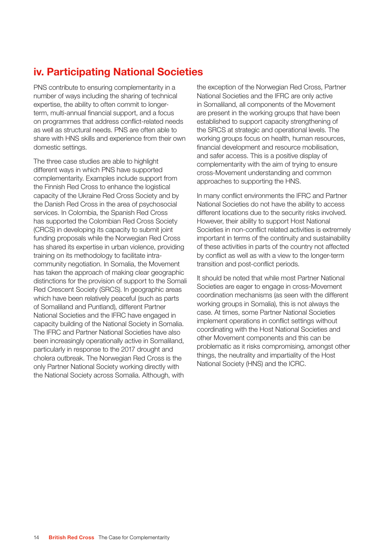# iv. Participating National Societies

PNS contribute to ensuring complementarity in a number of ways including the sharing of technical expertise, the ability to often commit to longerterm, multi-annual financial support, and a focus on programmes that address conflict-related needs as well as structural needs. PNS are often able to share with HNS skills and experience from their own domestic settings.

The three case studies are able to highlight different ways in which PNS have supported complementarity. Examples include support from the Finnish Red Cross to enhance the logistical capacity of the Ukraine Red Cross Society and by the Danish Red Cross in the area of psychosocial services. In Colombia, the Spanish Red Cross has supported the Colombian Red Cross Society (CRCS) in developing its capacity to submit joint funding proposals while the Norwegian Red Cross has shared its expertise in urban violence, providing training on its methodology to facilitate intracommunity negotiation. In Somalia, the Movement has taken the approach of making clear geographic distinctions for the provision of support to the Somali Red Crescent Society (SRCS). In geographic areas which have been relatively peaceful (such as parts of Somaliland and Puntland), different Partner National Societies and the IFRC have engaged in capacity building of the National Society in Somalia. The IFRC and Partner National Societies have also been increasingly operationally active in Somaliland, particularly in response to the 2017 drought and cholera outbreak. The Norwegian Red Cross is the only Partner National Society working directly with the National Society across Somalia. Although, with

the exception of the Norwegian Red Cross, Partner National Societies and the IFRC are only active in Somaliland, all components of the Movement are present in the working groups that have been established to support capacity strengthening of the SRCS at strategic and operational levels. The working groups focus on health, human resources, financial development and resource mobilisation, and safer access. This is a positive display of complementarity with the aim of trying to ensure cross-Movement understanding and common approaches to supporting the HNS.

In many conflict environments the IFRC and Partner National Societies do not have the ability to access different locations due to the security risks involved. However, their ability to support Host National Societies in non-conflict related activities is extremely important in terms of the continuity and sustainability of these activities in parts of the country not affected by conflict as well as with a view to the longer-term transition and post-conflict periods.

It should be noted that while most Partner National Societies are eager to engage in cross-Movement coordination mechanisms (as seen with the different working groups in Somalia), this is not always the case. At times, some Partner National Societies implement operations in conflict settings without coordinating with the Host National Societies and other Movement components and this can be problematic as it risks compromising, amongst other things, the neutrality and impartiality of the Host National Society (HNS) and the ICRC.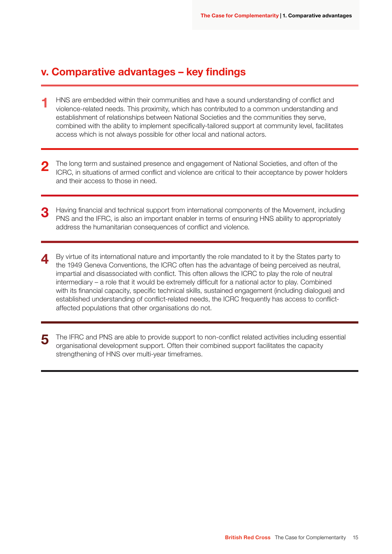### v. Comparative advantages – key findings

- HNS are embedded within their communities and have a sound understanding of conflict and violence-related needs. This proximity, which has contributed to a common understanding and establishment of relationships between National Societies and the communities they serve, combined with the ability to implement specifically-tailored support at community level, facilitates access which is not always possible for other local and national actors. 1
- The long term and sustained presence and engagement of National Societies, and often of the ICRC, in situations of armed conflict and violence are critical to their acceptance by power holders and their access to those in need. 2
- Having financial and technical support from international components of the Movement, including PNS and the IFRC, is also an important enabler in terms of ensuring HNS ability to appropriately address the humanitarian consequences of conflict and violence. 3
- By virtue of its international nature and importantly the role mandated to it by the States party to the 1949 Geneva Conventions, the ICRC often has the advantage of being perceived as neutral, impartial and disassociated with conflict. This often allows the ICRC to play the role of neutral intermediary – a role that it would be extremely difficult for a national actor to play. Combined with its financial capacity, specific technical skills, sustained engagement (including dialogue) and established understanding of conflict-related needs, the ICRC frequently has access to conflictaffected populations that other organisations do not. 4
- The IFRC and PNS are able to provide support to non-conflict related activities including essential organisational development support. Often their combined support facilitates the capacity strengthening of HNS over multi-year timeframes. 5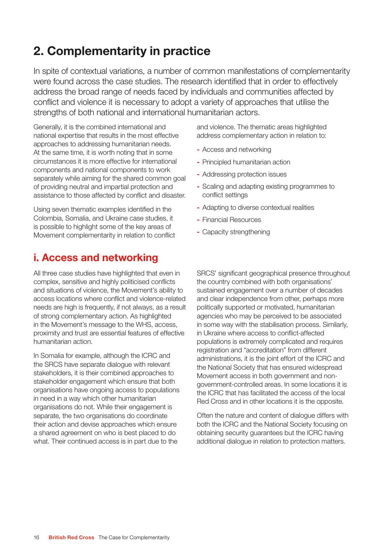# 2. Complementarity in practice

In spite of contextual variations, a number of common manifestations of complementarity were found across the case studies. The research identified that in order to effectively address the broad range of needs faced by individuals and communities affected by conflict and violence it is necessary to adopt a variety of approaches that utilise the strengths of both national and international humanitarian actors.

Generally, it is the combined international and national expertise that results in the most effective approaches to addressing humanitarian needs. At the same time, it is worth noting that in some circumstances it is more effective for international components and national components to work separately while aiming for the shared common goal of providing neutral and impartial protection and assistance to those affected by conflict and disaster.

Using seven thematic examples identified in the Colombia, Somalia, and Ukraine case studies, it is possible to highlight some of the key areas of Movement complementarity in relation to conflict

## i. Access and networking

All three case studies have highlighted that even in complex, sensitive and highly politicised conflicts and situations of violence, the Movement's ability to access locations where conflict and violence-related needs are high is frequently, if not always, as a result of strong complementary action. As highlighted in the Movement's message to the WHS, access, proximity and trust are essential features of effective humanitarian action.

In Somalia for example, although the ICRC and the SRCS have separate dialogue with relevant stakeholders, it is their combined approaches to stakeholder engagement which ensure that both organisations have ongoing access to populations in need in a way which other humanitarian organisations do not. While their engagement is separate, the two organisations do coordinate their action and devise approaches which ensure a shared agreement on who is best placed to do what. Their continued access is in part due to the

and violence. The thematic areas highlighted address complementary action in relation to:

- Access and networking
- Principled humanitarian action
- Addressing protection issues
- Scaling and adapting existing programmes to conflict settings
- Adapting to diverse contextual realities
- Financial Resources
- Capacity strengthening

SRCS' significant geographical presence throughout the country combined with both organisations' sustained engagement over a number of decades and clear independence from other, perhaps more politically supported or motivated, humanitarian agencies who may be perceived to be associated in some way with the stabilisation process. Similarly, in Ukraine where access to conflict-affected populations is extremely complicated and requires registration and "accreditation" from different administrations, it is the joint effort of the ICRC and the National Society that has ensured widespread Movement access in both government and nongovernment-controlled areas. In some locations it is the ICRC that has facilitated the access of the local Red Cross and in other locations it is the opposite.

Often the nature and content of dialogue differs with both the ICRC and the National Society focusing on obtaining security guarantees but the ICRC having additional dialogue in relation to protection matters.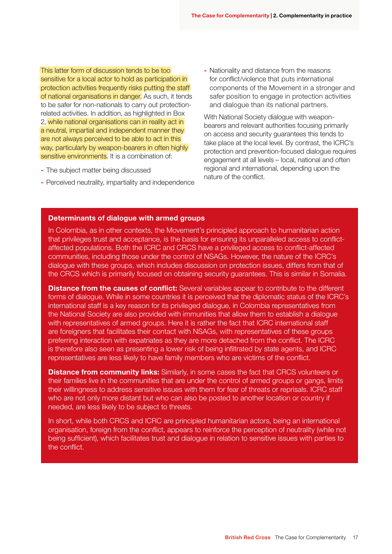This latter form of discussion tends to be too sensitive for a local actor to hold as participation in protection activities frequently risks putting the staff of national organisations in danger. As such, it tends to be safer for non-nationals to carry out protectionrelated activities. In addition, as highlighted in Box 2, while national organisations can in reality act in a neutral, impartial and independent manner they are not always perceived to be able to act in this way, particularly by weapon-bearers in often highly sensitive environments. It is a combination of:

- The subject matter being discussed
- Perceived neutrality, impartiality and independence

- Nationality and distance from the reasons for conflict/violence that puts international components of the Movement in a stronger and safer position to engage in protection activities and dialogue than its national partners.

With National Society dialogue with weaponbearers and relevant authorities focusing primarily on access and security guarantees this tends to take place at the local level. By contrast, the ICRC's protection and prevention-focused dialogue requires engagement at all levels – local, national and often regional and international, depending upon the nature of the conflict.

#### Determinants of dialogue with armed groups

In Colombia, as in other contexts, the Movement's principled approach to humanitarian action that privileges trust and acceptance, is the basis for ensuring its unparalleled access to conflictaffected populations. Both the ICRC and CRCS have a privileged access to conflict-affected communities, including those under the control of NSAGs. However, the nature of the ICRC's dialogue with these groups, which includes discussion on protection issues, differs from that of the CRCS which is primarily focused on obtaining security guarantees. This is similar in Somalia.

**Distance from the causes of conflict:** Several variables appear to contribute to the different forms of dialogue. While in some countries it is perceived that the diplomatic status of the ICRC's international staff is a key reason for its privileged dialogue, in Colombia representatives from the National Society are also provided with immunities that allow them to establish a dialogue with representatives of armed groups. Here it is rather the fact that ICRC international staff are foreigners that facilitates their contact with NSAGs, with representatives of these groups preferring interaction with expatriates as they are more detached from the conflict. The ICRC is therefore also seen as presenting a lower risk of being infiltrated by state agents, and ICRC representatives are less likely to have family members who are victims of the conflict.

**Distance from community links:** Similarly, in some cases the fact that CRCS volunteers or their families live in the communities that are under the control of armed groups or gangs, limits their willingness to address sensitive issues with them for fear of threats or reprisals. ICRC staff who are not only more distant but who can also be posted to another location or country if needed, are less likely to be subject to threats.

In short, while both CRCS and ICRC are principled humanitarian actors, being an international organisation, foreign from the conflict, appears to reinforce the perception of neutrality (while not being sufficient), which facilitates trust and dialogue in relation to sensitive issues with parties to the conflict.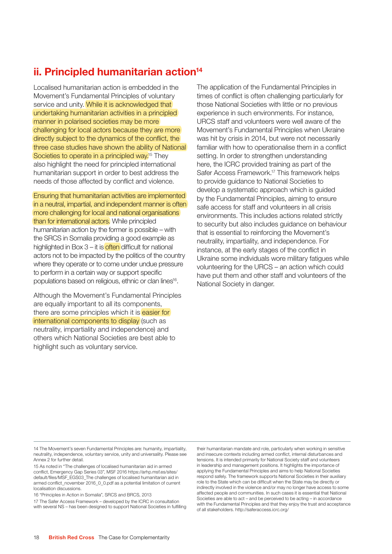# ii. Principled humanitarian action<sup>14</sup>

Localised humanitarian action is embedded in the Movement's Fundamental Principles of voluntary service and unity. While it is acknowledged that undertaking humanitarian activities in a principled manner in polarised societies may be more challenging for local actors because they are more directly subject to the dynamics of the conflict, the three case studies have shown the ability of National Societies to operate in a principled way.<sup>15</sup> They also highlight the need for principled international humanitarian support in order to best address the needs of those affected by conflict and violence.

Ensuring that humanitarian activities are implemented in a neutral, impartial, and independent manner is often more challenging for local and national organisations than for international actors. While principled humanitarian action by the former is possible – with the SRCS in Somalia providing a good example as highlighted in Box  $3 - it$  is often difficult for national actors not to be impacted by the politics of the country where they operate or to come under undue pressure to perform in a certain way or support specific populations based on religious, ethnic or clan lines<sup>16</sup>.

Although the Movement's Fundamental Principles are equally important to all its components, there are some principles which it is easier for international components to display (such as neutrality, impartiality and independence) and others which National Societies are best able to highlight such as voluntary service.

The application of the Fundamental Principles in times of conflict is often challenging particularly for those National Societies with little or no previous experience in such environments. For instance, URCS staff and volunteers were well aware of the Movement's Fundamental Principles when Ukraine was hit by crisis in 2014, but were not necessarily familiar with how to operationalise them in a conflict setting. In order to strengthen understanding here, the ICRC provided training as part of the Safer Access Framework.<sup>17</sup> This framework helps to provide guidance to National Societies to develop a systematic approach which is guided by the Fundamental Principles, aiming to ensure safe access for staff and volunteers in all crisis environments. This includes actions related strictly to security but also includes guidance on behaviour that is essential to reinforcing the Movement's neutrality, impartiality, and independence. For instance, at the early stages of the conflict in Ukraine some individuals wore military fatigues while volunteering for the URCS – an action which could have put them and other staff and volunteers of the National Society in danger.

14 The Movement's seven Fundamental Principles are: humanity, impartiality, neutrality, independence, voluntary service, unity and universality. Please see Annex 2 for further detail.

15 As noted in "The challenges of localised humanitarian aid in armed conflict, Emergency Gap Series 03", MSF 2016 https://arhp.msf.es/sites/ default/files/MSF\_EGS03\_The challenges of localised humanitarian aid in armed conflict\_november 2016\_0\_0.pdf as a potential limitation of current localisation discussions.

16 "Principles in Action in Somalia", SRCS and BRCS, 2013

17 The Safer Access Framework – developed by the ICRC in consultation with several NS – has been designed to support National Societies in fulfilling their humanitarian mandate and role, particularly when working in sensitive and insecure contexts including armed conflict, internal disturbances and tensions. It is intended primarily for National Society staff and volunteers in leadership and management positions. It highlights the importance of applying the Fundamental Principles and aims to help National Societies respond safely. The framework supports National Societies in their auxiliary role to the State which can be difficult when the State may be directly or indirectly involved in the violence and/or may no longer have access to some affected people and communities. In such cases it is essential that National Societies are able to act – and be perceived to be acting – in accordance with the Fundamental Principles and that they enjoy the trust and acceptance of all stakeholders. http://saferaccess.icrc.org/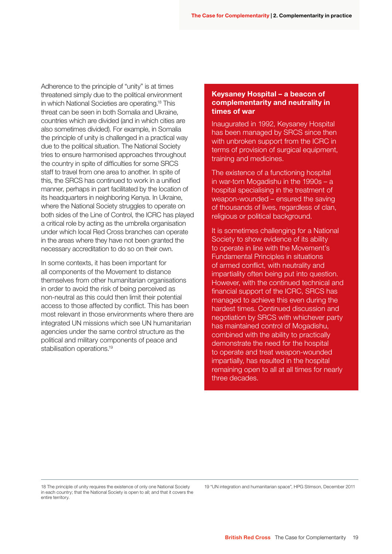Adherence to the principle of "unity" is at times threatened simply due to the political environment in which National Societies are operating.18 This threat can be seen in both Somalia and Ukraine, countries which are divided (and in which cities are also sometimes divided). For example, in Somalia the principle of unity is challenged in a practical way due to the political situation. The National Society tries to ensure harmonised approaches throughout the country in spite of difficulties for some SRCS staff to travel from one area to another. In spite of this, the SRCS has continued to work in a unified manner, perhaps in part facilitated by the location of its headquarters in neighboring Kenya. In Ukraine, where the National Society struggles to operate on both sides of the Line of Control, the ICRC has played a critical role by acting as the umbrella organisation under which local Red Cross branches can operate in the areas where they have not been granted the necessary accreditation to do so on their own.

In some contexts, it has been important for all components of the Movement to distance themselves from other humanitarian organisations in order to avoid the risk of being perceived as non-neutral as this could then limit their potential access to those affected by conflict. This has been most relevant in those environments where there are integrated UN missions which see UN humanitarian agencies under the same control structure as the political and military components of peace and stabilisation operations.<sup>19</sup>

#### Keysaney Hospital – a beacon of complementarity and neutrality in times of war

Inaugurated in 1992, Keysaney Hospital has been managed by SRCS since then with unbroken support from the ICRC in terms of provision of surgical equipment, training and medicines.

The existence of a functioning hospital in war-torn Mogadishu in the 1990s – a hospital specialising in the treatment of weapon-wounded – ensured the saving of thousands of lives, regardless of clan, religious or political background.

It is sometimes challenging for a National Society to show evidence of its ability to operate in line with the Movement's Fundamental Principles in situations of armed conflict, with neutrality and impartiality often being put into question. However, with the continued technical and financial support of the ICRC, SRCS has managed to achieve this even during the hardest times. Continued discussion and negotiation by SRCS with whichever party has maintained control of Mogadishu, combined with the ability to practically demonstrate the need for the hospital to operate and treat weapon-wounded impartially, has resulted in the hospital remaining open to all at all times for nearly three decades.

18 The principle of unity requires the existence of only one National Society in each country; that the National Society is open to all; and that it covers the entire territory.

19 "UN integration and humanitarian space", HPG Stimson, December 2011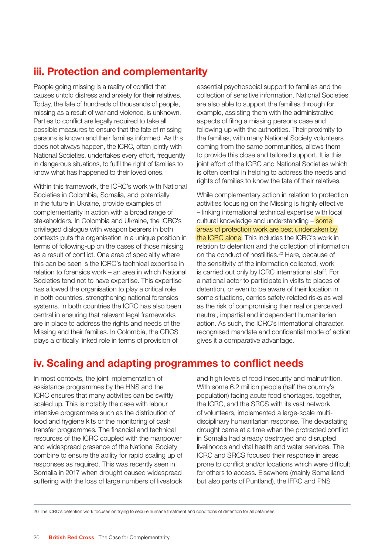# iii. Protection and complementarity

People going missing is a reality of conflict that causes untold distress and anxiety for their relatives. Today, the fate of hundreds of thousands of people, missing as a result of war and violence, is unknown. Parties to conflict are legally required to take all possible measures to ensure that the fate of missing persons is known and their families informed. As this does not always happen, the ICRC, often jointly with National Societies, undertakes every effort, frequently in dangerous situations, to fulfil the right of families to know what has happened to their loved ones.

Within this framework, the ICRC's work with National Societies in Colombia, Somalia, and potentially in the future in Ukraine, provide examples of complementarity in action with a broad range of stakeholders. In Colombia and Ukraine, the ICRC's privileged dialogue with weapon bearers in both contexts puts the organisation in a unique position in terms of following-up on the cases of those missing as a result of conflict. One area of speciality where this can be seen is the ICRC's technical expertise in relation to forensics work – an area in which National Societies tend not to have expertise. This expertise has allowed the organisation to play a critical role in both countries, strengthening national forensics systems. In both countries the ICRC has also been central in ensuring that relevant legal frameworks are in place to address the rights and needs of the Missing and their families. In Colombia, the CRCS plays a critically linked role in terms of provision of

essential psychosocial support to families and the collection of sensitive information. National Societies are also able to support the families through for example, assisting them with the administrative aspects of filing a missing persons case and following up with the authorities. Their proximity to the families, with many National Society volunteers coming from the same communities, allows them to provide this close and tailored support. It is this joint effort of the ICRC and National Societies which is often central in helping to address the needs and rights of families to know the fate of their relatives.

While complementary action in relation to protection activities focusing on the Missing is highly effective – linking international technical expertise with local cultural knowledge and understanding – some areas of protection work are best undertaken by the ICRC alone. This includes the ICRC's work in relation to detention and the collection of information on the conduct of hostilities.20 Here, because of the sensitivity of the information collected, work is carried out only by ICRC international staff. For a national actor to participate in visits to places of detention, or even to be aware of their location in some situations, carries safety-related risks as well as the risk of compromising their real or perceived neutral, impartial and independent humanitarian action. As such, the ICRC's international character, recognised mandate and confidential mode of action gives it a comparative advantage.

# iv. Scaling and adapting programmes to conflict needs

In most contexts, the joint implementation of assistance programmes by the HNS and the ICRC ensures that many activities can be swiftly scaled up. This is notably the case with labour intensive programmes such as the distribution of food and hygiene kits or the monitoring of cash transfer programmes. The financial and technical resources of the ICRC coupled with the manpower and widespread presence of the National Society combine to ensure the ability for rapid scaling up of responses as required. This was recently seen in Somalia in 2017 when drought caused widespread suffering with the loss of large numbers of livestock and high levels of food insecurity and malnutrition. With some 6.2 million people (half the country's population) facing acute food shortages, together, the ICRC, and the SRCS with its vast network of volunteers, implemented a large-scale multidisciplinary humanitarian response. The devastating drought came at a time when the protracted conflict in Somalia had already destroyed and disrupted livelihoods and vital health and water services. The ICRC and SRCS focused their response in areas prone to conflict and/or locations which were difficult for others to access. Elsewhere (mainly Somaliland but also parts of Puntland), the IFRC and PNS

20 The ICRC's detention work focuses on trying to secure humane treatment and conditions of detention for all detainees.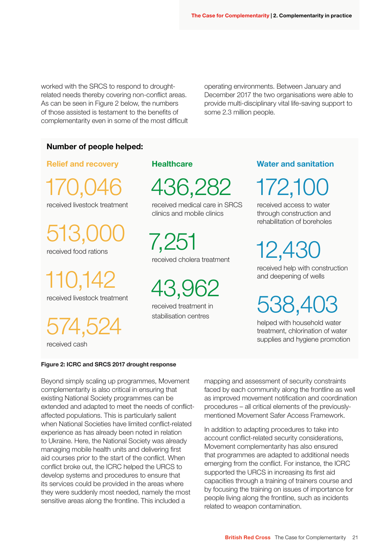worked with the SRCS to respond to droughtrelated needs thereby covering non-conflict areas. As can be seen in Figure 2 below, the numbers of those assisted is testament to the benefits of complementarity even in some of the most difficult operating environments. Between January and December 2017 the two organisations were able to provide multi-disciplinary vital life-saving support to some 2.3 million people.

#### Number of people helped:

Relief and recovery

170,046 received livestock treatment

513, received food rations

110,142 received livestock treatment

574,524

received cash

#### **Healthcare**

436,282

received medical care in SRCS clinics and mobile clinics

7,251 received cholera treatment

43,962

received treatment in stabilisation centres

#### Water and sanitation

172,1

received access to water through construction and rehabilitation of boreholes

12,430

received help with construction and deepening of wells

538,4C

helped with household water treatment, chlorination of water supplies and hygiene promotion

#### Figure 2: ICRC and SRCS 2017 drought response

Beyond simply scaling up programmes, Movement complementarity is also critical in ensuring that existing National Society programmes can be extended and adapted to meet the needs of conflictaffected populations. This is particularly salient when National Societies have limited conflict-related experience as has already been noted in relation to Ukraine. Here, the National Society was already managing mobile health units and delivering first aid courses prior to the start of the conflict. When conflict broke out, the ICRC helped the URCS to develop systems and procedures to ensure that its services could be provided in the areas where they were suddenly most needed, namely the most sensitive areas along the frontline. This included a

mapping and assessment of security constraints faced by each community along the frontline as well as improved movement notification and coordination procedures – all critical elements of the previouslymentioned Movement Safer Access Framework.

In addition to adapting procedures to take into account conflict-related security considerations, Movement complementarity has also ensured that programmes are adapted to additional needs emerging from the conflict. For instance, the ICRC supported the URCS in increasing its first aid capacities through a training of trainers course and by focusing the training on issues of importance for people living along the frontline, such as incidents related to weapon contamination.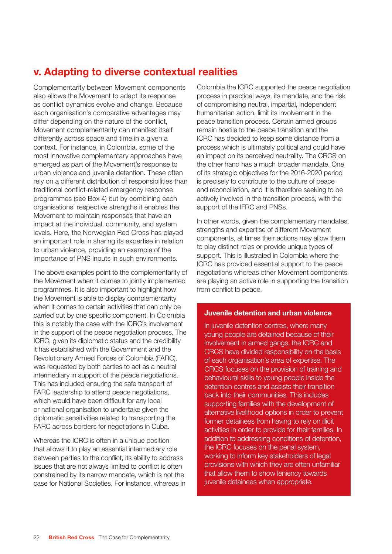# v. Adapting to diverse contextual realities

Complementarity between Movement components also allows the Movement to adapt its response as conflict dynamics evolve and change. Because each organisation's comparative advantages may differ depending on the nature of the conflict, Movement complementarity can manifest itself differently across space and time in a given a context. For instance, in Colombia, some of the most innovative complementary approaches have emerged as part of the Movement's response to urban violence and juvenile detention. These often rely on a different distribution of responsibilities than traditional conflict-related emergency response programmes (see Box 4) but by combining each organisations' respective strengths it enables the Movement to maintain responses that have an impact at the individual, community, and system levels. Here, the Norwegian Red Cross has played an important role in sharing its expertise in relation to urban violence, providing an example of the importance of PNS inputs in such environments.

The above examples point to the complementarity of the Movement when it comes to jointly implemented programmes. It is also important to highlight how the Movement is able to display complementarity when it comes to certain activities that can only be carried out by one specific component. In Colombia this is notably the case with the ICRC's involvement in the support of the peace negotiation process. The ICRC, given its diplomatic status and the credibility it has established with the Government and the Revolutionary Armed Forces of Colombia (FARC), was requested by both parties to act as a neutral intermediary in support of the peace negotiations. This has included ensuring the safe transport of FARC leadership to attend peace negotiations, which would have been difficult for any local or national organisation to undertake given the diplomatic sensitivities related to transporting the FARC across borders for negotiations in Cuba.

Whereas the ICRC is often in a unique position that allows it to play an essential intermediary role between parties to the conflict, its ability to address issues that are not always limited to conflict is often constrained by its narrow mandate, which is not the case for National Societies. For instance, whereas in Colombia the ICRC supported the peace negotiation process in practical ways, its mandate, and the risk of compromising neutral, impartial, independent humanitarian action, limit its involvement in the peace transition process. Certain armed groups remain hostile to the peace transition and the ICRC has decided to keep some distance from a process which is ultimately political and could have an impact on its perceived neutrality. The CRCS on the other hand has a much broader mandate. One of its strategic objectives for the 2016-2020 period is precisely to contribute to the culture of peace and reconciliation, and it is therefore seeking to be actively involved in the transition process, with the support of the IFRC and PNSs.

In other words, given the complementary mandates, strengths and expertise of different Movement components, at times their actions may allow them to play distinct roles or provide unique types of support. This is illustrated in Colombia where the ICRC has provided essential support to the peace negotiations whereas other Movement components are playing an active role in supporting the transition from conflict to peace.

#### Juvenile detention and urban violence

In juvenile detention centres, where many young people are detained because of their involvement in armed gangs, the ICRC and CRCS have divided responsibility on the basis of each organisation's area of expertise. The CRCS focuses on the provision of training and behavioural skills to young people inside the detention centres and assists their transition back into their communities. This includes supporting families with the development of alternative livelihood options in order to prevent former detainees from having to rely on illicit activities in order to provide for their families. In addition to addressing conditions of detention, the ICRC focuses on the penal system, working to inform key stakeholders of legal provisions with which they are often unfamiliar that allow them to show leniency towards juvenile detainees when appropriate.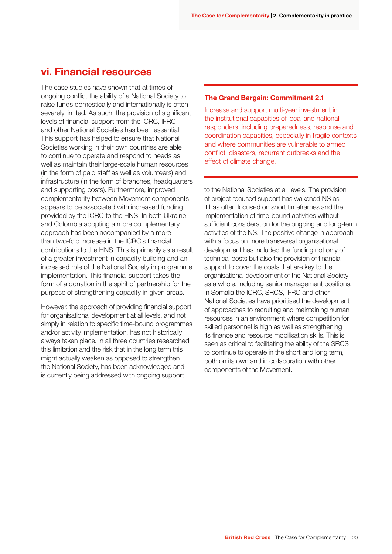### vi. Financial resources

The case studies have shown that at times of ongoing conflict the ability of a National Society to raise funds domestically and internationally is often severely limited. As such, the provision of significant levels of financial support from the ICRC, IFRC and other National Societies has been essential. This support has helped to ensure that National Societies working in their own countries are able to continue to operate and respond to needs as well as maintain their large-scale human resources (in the form of paid staff as well as volunteers) and infrastructure (in the form of branches, headquarters and supporting costs). Furthermore, improved complementarity between Movement components appears to be associated with increased funding provided by the ICRC to the HNS. In both Ukraine and Colombia adopting a more complementary approach has been accompanied by a more than two-fold increase in the ICRC's financial contributions to the HNS. This is primarily as a result of a greater investment in capacity building and an increased role of the National Society in programme implementation. This financial support takes the form of a donation in the spirit of partnership for the purpose of strengthening capacity in given areas.

However, the approach of providing financial support for organisational development at all levels, and not simply in relation to specific time-bound programmes and/or activity implementation, has not historically always taken place. In all three countries researched, this limitation and the risk that in the long term this might actually weaken as opposed to strengthen the National Society, has been acknowledged and is currently being addressed with ongoing support

#### The Grand Bargain: Commitment 2.1

Increase and support multi-year investment in the institutional capacities of local and national responders, including preparedness, response and coordination capacities, especially in fragile contexts and where communities are vulnerable to armed conflict, disasters, recurrent outbreaks and the effect of climate change.

to the National Societies at all levels. The provision of project-focused support has wakened NS as it has often focused on short timeframes and the implementation of time-bound activities without sufficient consideration for the ongoing and long-term activities of the NS. The positive change in approach with a focus on more transversal organisational development has included the funding not only of technical posts but also the provision of financial support to cover the costs that are key to the organisational development of the National Society as a whole, including senior management positions. In Somalia the ICRC, SRCS, IFRC and other National Societies have prioritised the development of approaches to recruiting and maintaining human resources in an environment where competition for skilled personnel is high as well as strengthening its finance and resource mobilisation skills. This is seen as critical to facilitating the ability of the SRCS to continue to operate in the short and long term, both on its own and in collaboration with other components of the Movement.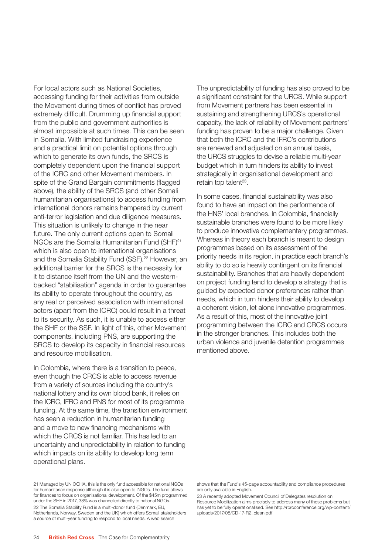For local actors such as National Societies, accessing funding for their activities from outside the Movement during times of conflict has proved extremely difficult. Drumming up financial support from the public and government authorities is almost impossible at such times. This can be seen in Somalia. With limited fundraising experience and a practical limit on potential options through which to generate its own funds, the SRCS is completely dependent upon the financial support of the ICRC and other Movement members. In spite of the Grand Bargain commitments (flagged above), the ability of the SRCS (and other Somali humanitarian organisations) to access funding from international donors remains hampered by current anti-terror legislation and due diligence measures. This situation is unlikely to change in the near future. The only current options open to Somali NGOs are the Somalia Humanitarian Fund (SHF)21 which is also open to international organisations and the Somalia Stability Fund (SSF).<sup>22</sup> However, an additional barrier for the SRCS is the necessity for it to distance itself from the UN and the westernbacked "stabilisation" agenda in order to guarantee its ability to operate throughout the country, as any real or perceived association with international actors (apart from the ICRC) could result in a threat to its security. As such, it is unable to access either the SHF or the SSF. In light of this, other Movement components, including PNS, are supporting the SRCS to develop its capacity in financial resources and resource mobilisation.

In Colombia, where there is a transition to peace, even though the CRCS is able to access revenue from a variety of sources including the country's national lottery and its own blood bank, it relies on the ICRC, IFRC and PNS for most of its programme funding. At the same time, the transition environment has seen a reduction in humanitarian funding and a move to new financing mechanisms with which the CRCS is not familiar. This has led to an uncertainty and unpredictability in relation to funding which impacts on its ability to develop long term operational plans.

The unpredictability of funding has also proved to be a significant constraint for the URCS. While support from Movement partners has been essential in sustaining and strengthening URCS's operational capacity, the lack of reliability of Movement partners' funding has proven to be a major challenge. Given that both the ICRC and the IFRC's contributions are renewed and adjusted on an annual basis, the URCS struggles to devise a reliable multi-year budget which in turn hinders its ability to invest strategically in organisational development and retain top talent<sup>23</sup>.

In some cases, financial sustainability was also found to have an impact on the performance of the HNS' local branches. In Colombia, financially sustainable branches were found to be more likely to produce innovative complementary programmes. Whereas in theory each branch is meant to design programmes based on its assessment of the priority needs in its region, in practice each branch's ability to do so is heavily contingent on its financial sustainability. Branches that are heavily dependent on project funding tend to develop a strategy that is guided by expected donor preferences rather than needs, which in turn hinders their ability to develop a coherent vision, let alone innovative programmes. As a result of this, most of the innovative joint programming between the ICRC and CRCS occurs in the stronger branches. This includes both the urban violence and juvenile detention programmes mentioned above.

<sup>21</sup> Managed by UN OCHA, this is the only fund accessible for national NGOs for humanitarian response although it is also open to INGOs. The fund allows for finances to focus on organisational development. Of the \$45m programmed under the SHF in 2017, 38% was channelled directly to national NGOs. 22 The Somalia Stability Fund is a multi-donor fund (Denmark, EU, Netherlands, Norway, Sweden and the UK) which offers Somali stakeholders a source of multi-year funding to respond to local needs. A web search

shows that the Fund's 45-page accountability and compliance procedures are only available in English.

<sup>23</sup> A recently adopted Movement Council of Delegates resolution on Resource Mobilization aims precisely to address many of these problems but has yet to be fully operationalised. See http://rcrcconference.org/wp-content/ uploads/2017/08/CD-17-R2\_clean.pdf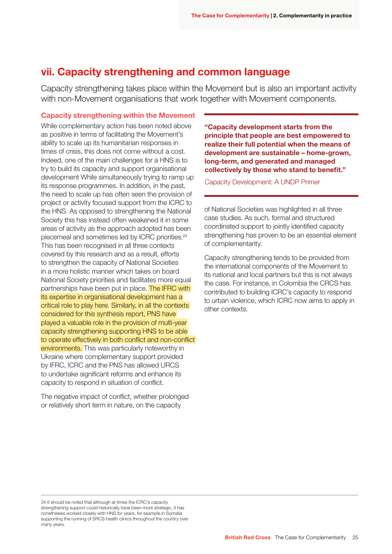### vii. Capacity strengthening and common language

Capacity strengthening takes place within the Movement but is also an important activity with non-Movement organisations that work together with Movement components.

#### Capacity strengthening within the Movement

While complementary action has been noted above as positive in terms of facilitating the Movement's ability to scale up its humanitarian responses in times of crisis, this does not come without a cost. Indeed, one of the main challenges for a HNS is to try to build its capacity and support organisational development While simultaneously trying to ramp up its response programmes. In addition, in the past, the need to scale up has often seen the provision of project or activity focused support from the ICRC to the HNS. As opposed to strengthening the National Society this has instead often weakened it in some areas of activity as the approach adopted has been piecemeal and sometimes led by ICRC priorities.24 This has been recognised in all three contexts covered by this research and as a result, efforts to strengthen the capacity of National Societies in a more holistic manner which takes on board National Society priorities and facilitates more equal partnerships have been put in place. The IFRC with its expertise in organisational development has a critical role to play here. Similarly, in all the contexts considered for this synthesis report, PNS have played a valuable role in the provision of multi-year capacity strengthening supporting HNS to be able to operate effectively in both conflict and non-conflict environments. This was particularly noteworthy in Ukraine where complementary support provided by IFRC, ICRC and the PNS has allowed URCS to undertake significant reforms and enhance its capacity to respond in situation of conflict.

The negative impact of conflict, whether prolonged or relatively short term in nature, on the capacity

"Capacity development starts from the principle that people are best empowered to realize their full potential when the means of development are sustainable – home-grown, long-term, and generated and managed collectively by those who stand to benefit."

Capacity Development: A UNDP Primer

of National Societies was highlighted in all three case studies. As such, formal and structured coordinated support to jointly identified capacity strengthening has proven to be an essential element of complementarity.

Capacity strengthening tends to be provided from the international components of the Movement to its national and local partners but this is not always the case. For instance, in Colombia the CRCS has contributed to building ICRC's capacity to respond to urban violence, which ICRC now aims to apply in other contexts.

24 It should be noted that although at times the ICRC's capacity strengthening support could historically have been more strategic, it has nonetheless worked closely with HNS for years, for example in Somalia supporting the running of SRCS health clinics throughout the country over many years.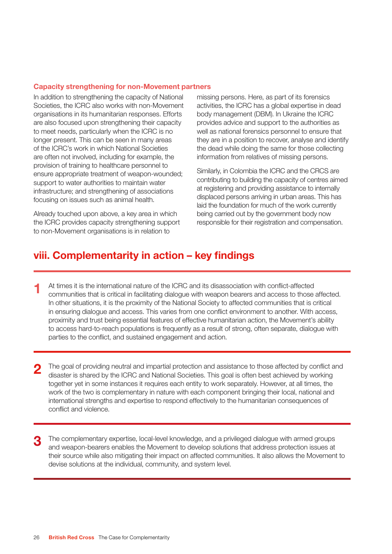#### Capacity strengthening for non-Movement partners

In addition to strengthening the capacity of National Societies, the ICRC also works with non-Movement organisations in its humanitarian responses. Efforts are also focused upon strengthening their capacity to meet needs, particularly when the ICRC is no longer present. This can be seen in many areas of the ICRC's work in which National Societies are often not involved, including for example, the provision of training to healthcare personnel to ensure appropriate treatment of weapon-wounded; support to water authorities to maintain water infrastructure; and strengthening of associations focusing on issues such as animal health.

Already touched upon above, a key area in which the ICRC provides capacity strengthening support to non-Movement organisations is in relation to

missing persons. Here, as part of its forensics activities, the ICRC has a global expertise in dead body management (DBM). In Ukraine the ICRC provides advice and support to the authorities as well as national forensics personnel to ensure that they are in a position to recover, analyse and identify the dead while doing the same for those collecting information from relatives of missing persons.

Similarly, in Colombia the ICRC and the CRCS are contributing to building the capacity of centres aimed at registering and providing assistance to internally displaced persons arriving in urban areas. This has laid the foundation for much of the work currently being carried out by the government body now responsible for their registration and compensation.

### viii. Complementarity in action – key findings

- At times it is the international nature of the ICRC and its disassociation with conflict-affected communities that is critical in facilitating dialogue with weapon bearers and access to those affected. In other situations, it is the proximity of the National Society to affected communities that is critical in ensuring dialogue and access. This varies from one conflict environment to another. With access, proximity and trust being essential features of effective humanitarian action, the Movement's ability to access hard-to-reach populations is frequently as a result of strong, often separate, dialogue with parties to the conflict, and sustained engagement and action. 1
- The goal of providing neutral and impartial protection and assistance to those affected by conflict and disaster is shared by the ICRC and National Societies. This goal is often best achieved by working together yet in some instances it requires each entity to work separately. However, at all times, the work of the two is complementary in nature with each component bringing their local, national and international strengths and expertise to respond effectively to the humanitarian consequences of conflict and violence. 2
- The complementary expertise, local-level knowledge, and a privileged dialogue with armed groups and weapon-bearers enables the Movement to develop solutions that address protection issues at their source while also mitigating their impact on affected communities. It also allows the Movement to devise solutions at the individual, community, and system level. 3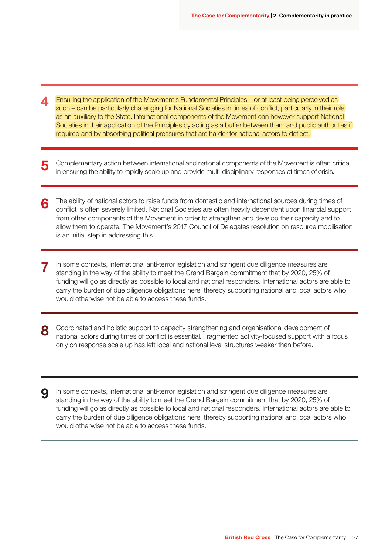- Ensuring the application of the Movement's Fundamental Principles or at least being perceived as such – can be particularly challenging for National Societies in times of conflict, particularly in their role as an auxiliary to the State. International components of the Movement can however support National Societies in their application of the Principles by acting as a buffer between them and public authorities if required and by absorbing political pressures that are harder for national actors to deflect. 4
- Complementary action between international and national components of the Movement is often critical in ensuring the ability to rapidly scale up and provide multi-disciplinary responses at times of crisis. 5
- The ability of national actors to raise funds from domestic and international sources during times of conflict is often severely limited. National Societies are often heavily dependent upon financial support from other components of the Movement in order to strengthen and develop their capacity and to allow them to operate. The Movement's 2017 Council of Delegates resolution on resource mobilisation is an initial step in addressing this. 6
- In some contexts, international anti-terror legislation and stringent due diligence measures are standing in the way of the ability to meet the Grand Bargain commitment that by 2020, 25% of funding will go as directly as possible to local and national responders. International actors are able to carry the burden of due diligence obligations here, thereby supporting national and local actors who would otherwise not be able to access these funds. 7
- Coordinated and holistic support to capacity strengthening and organisational development of national actors during times of conflict is essential. Fragmented activity-focused support with a focus only on response scale up has left local and national level structures weaker than before. 8
- In some contexts, international anti-terror legislation and stringent due diligence measures are standing in the way of the ability to meet the Grand Bargain commitment that by 2020, 25% of funding will go as directly as possible to local and national responders. International actors are able to carry the burden of due diligence obligations here, thereby supporting national and local actors who would otherwise not be able to access these funds. 9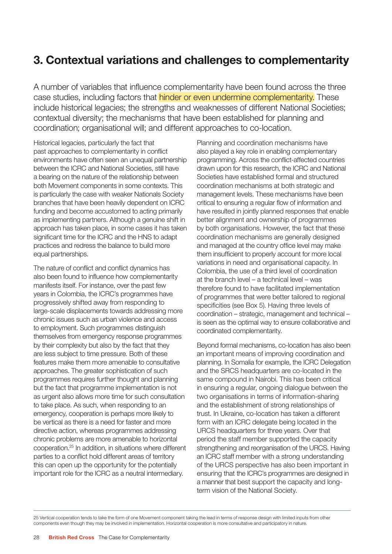# 3. Contextual variations and challenges to complementarity

A number of variables that influence complementarity have been found across the three case studies, including factors that **hinder or even undermine complementarity.** These include historical legacies; the strengths and weaknesses of different National Societies; contextual diversity; the mechanisms that have been established for planning and coordination; organisational will; and different approaches to co-location.

Historical legacies, particularly the fact that past approaches to complementarity in conflict environments have often seen an unequal partnership between the ICRC and National Societies, still have a bearing on the nature of the relationship between both Movement components in some contexts. This is particularly the case with weaker Nationals Society branches that have been heavily dependent on ICRC funding and become accustomed to acting primarily as implementing partners. Although a genuine shift in approach has taken place, in some cases it has taken significant time for the ICRC and the HNS to adapt practices and redress the balance to build more equal partnerships.

The nature of conflict and conflict dynamics has also been found to influence how complementarity manifests itself. For instance, over the past few years in Colombia, the ICRC's programmes have progressively shifted away from responding to large-scale displacements towards addressing more chronic issues such as urban violence and access to employment. Such programmes distinguish themselves from emergency response programmes by their complexity but also by the fact that they are less subject to time pressure. Both of these features make them more amenable to consultative approaches. The greater sophistication of such programmes requires further thought and planning but the fact that programme implementation is not as urgent also allows more time for such consultation to take place. As such, when responding to an emergency, cooperation is perhaps more likely to be vertical as there is a need for faster and more directive action, whereas programmes addressing chronic problems are more amenable to horizontal cooperation.25 In addition, in situations where different parties to a conflict hold different areas of territory this can open up the opportunity for the potentially important role for the ICRC as a neutral intermediary.

Planning and coordination mechanisms have also played a key role in enabling complementary programming. Across the conflict-affected countries drawn upon for this research, the ICRC and National Societies have established formal and structured coordination mechanisms at both strategic and management levels. These mechanisms have been critical to ensuring a regular flow of information and have resulted in jointly planned responses that enable better alignment and ownership of programmes by both organisations. However, the fact that these coordination mechanisms are generally designed and managed at the country office level may make them insufficient to properly account for more local variations in need and organisational capacity. In Colombia, the use of a third level of coordination at the branch level – a technical level – was therefore found to have facilitated implementation of programmes that were better tailored to regional specificities (see Box 5). Having three levels of coordination – strategic, management and technical – is seen as the optimal way to ensure collaborative and coordinated complementarity.

Beyond formal mechanisms, co-location has also been an important means of improving coordination and planning. In Somalia for example, the ICRC Delegation and the SRCS headquarters are co-located in the same compound in Nairobi. This has been critical in ensuring a regular, ongoing dialogue between the two organisations in terms of information-sharing and the establishment of strong relationships of trust. In Ukraine, co-location has taken a different form with an ICRC delegate being located in the URCS headquarters for three years. Over that period the staff member supported the capacity strengthening and reorganisation of the URCS. Having an ICRC staff member with a strong understanding of the URCS perspective has also been important in ensuring that the ICRC's programmes are designed in a manner that best support the capacity and longterm vision of the National Society.

25 Vertical cooperation tends to take the form of one Movement component taking the lead in terms of response design with limited inputs from other components even though they may be involved in implementation. Horizontal cooperation is more consultative and participatory in nature.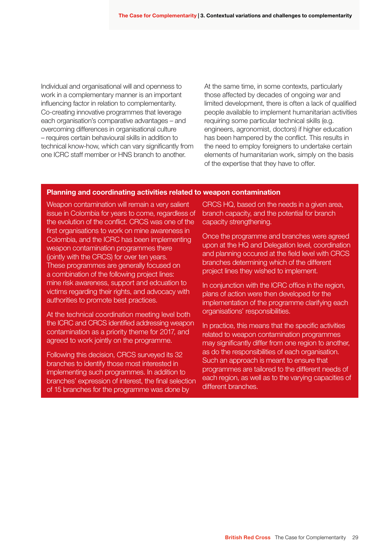Individual and organisational will and openness to work in a complementary manner is an important influencing factor in relation to complementarity. Co-creating innovative programmes that leverage each organisation's comparative advantages – and overcoming differences in organisational culture – requires certain behavioural skills in addition to technical know-how, which can vary significantly from one ICRC staff member or HNS branch to another.

At the same time, in some contexts, particularly those affected by decades of ongoing war and limited development, there is often a lack of qualified people available to implement humanitarian activities requiring some particular technical skills (e.g. engineers, agronomist, doctors) if higher education has been hampered by the conflict. This results in the need to employ foreigners to undertake certain elements of humanitarian work, simply on the basis of the expertise that they have to offer.

#### Planning and coordinating activities related to weapon contamination

Weapon contamination will remain a very salient issue in Colombia for years to come, regardless of the evolution of the conflict. CRCS was one of the first organisations to work on mine awareness in Colombia, and the ICRC has been implementing weapon contamination programmes there (jointly with the CRCS) for over ten years. These programmes are generally focused on a combination of the following project lines: mine risk awareness, support and edcuation to victims regarding their rights, and advocacy with authorities to promote best practices.

At the technical coordination meeting level both the ICRC and CRCS identified addressing weapon contamination as a priority theme for 2017, and agreed to work jointly on the programme.

Following this decision, CRCS surveyed its 32 branches to identify those most interested in implementing such programmes. In addition to branches' expression of interest, the final selection of 15 branches for the programme was done by

CRCS HQ, based on the needs in a given area, branch capacity, and the potential for branch capacity strengthening.

Once the programme and branches were agreed upon at the HQ and Delegation level, coordination and planning occured at the field level with CRCS branches determining which of the different project lines they wished to implement.

In conjunction with the ICRC office in the region, plans of action were then developed for the implementation of the programme clarifying each organisations' responsibilities.

In practice, this means that the specific activities related to weapon contamination programmes may significantly differ from one region to another, as do the responsibilities of each organisation. Such an approach is meant to ensure that programmes are tailored to the different needs of each region, as well as to the varying capacities of different branches.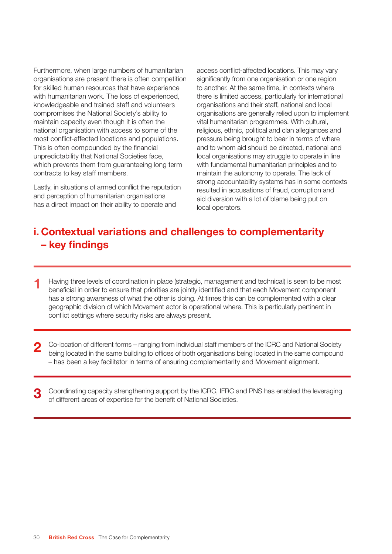Furthermore, when large numbers of humanitarian organisations are present there is often competition for skilled human resources that have experience with humanitarian work. The loss of experienced, knowledgeable and trained staff and volunteers compromises the National Society's ability to maintain capacity even though it is often the national organisation with access to some of the most conflict-affected locations and populations. This is often compounded by the financial unpredictability that National Societies face, which prevents them from guaranteeing long term contracts to key staff members.

Lastly, in situations of armed conflict the reputation and perception of humanitarian organisations has a direct impact on their ability to operate and

access conflict-affected locations. This may vary significantly from one organisation or one region to another. At the same time, in contexts where there is limited access, particularly for international organisations and their staff, national and local organisations are generally relied upon to implement vital humanitarian programmes. With cultural, religious, ethnic, political and clan allegiances and pressure being brought to bear in terms of where and to whom aid should be directed, national and local organisations may struggle to operate in line with fundamental humanitarian principles and to maintain the autonomy to operate. The lack of strong accountability systems has in some contexts resulted in accusations of fraud, corruption and aid diversion with a lot of blame being put on local operators.

# i. Contextual variations and challenges to complementarity – key findings

- Having three levels of coordination in place (strategic, management and technical) is seen to be most beneficial in order to ensure that priorities are jointly identified and that each Movement component has a strong awareness of what the other is doing. At times this can be complemented with a clear geographic division of which Movement actor is operational where. This is particularly pertinent in conflict settings where security risks are always present. 1
- Co-location of different forms ranging from individual staff members of the ICRC and National Society being located in the same building to offices of both organisations being located in the same compound – has been a key facilitator in terms of ensuring complementarity and Movement alignment. 2
- Coordinating capacity strengthening support by the ICRC, IFRC and PNS has enabled the leveraging of different areas of expertise for the benefit of National Societies. 3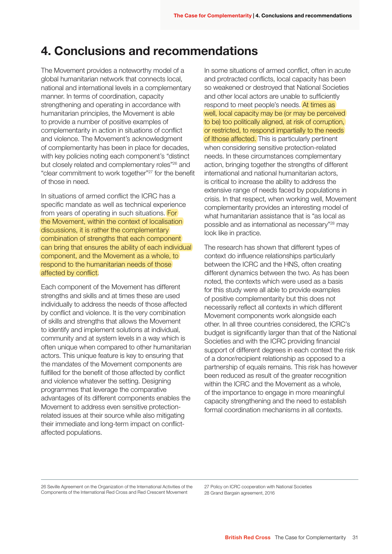# 4. Conclusions and recommendations

The Movement provides a noteworthy model of a global humanitarian network that connects local, national and international levels in a complementary manner. In terms of coordination, capacity strengthening and operating in accordance with humanitarian principles, the Movement is able to provide a number of positive examples of complementarity in action in situations of conflict and violence. The Movement's acknowledgment of complementarity has been in place for decades, with key policies noting each component's "distinct but closely related and complementary roles"26 and "clear commitment to work together"27 for the benefit of those in need.

In situations of armed conflict the ICRC has a specific mandate as well as technical experience from years of operating in such situations. For the Movement, within the context of localisation discussions, it is rather the complementary combination of strengths that each component can bring that ensures the ability of each individual component, and the Movement as a whole, to respond to the humanitarian needs of those affected by conflict.

Each component of the Movement has different strengths and skills and at times these are used individually to address the needs of those affected by conflict and violence. It is the very combination of skills and strengths that allows the Movement to identify and implement solutions at individual, community and at system levels in a way which is often unique when compared to other humanitarian actors. This unique feature is key to ensuring that the mandates of the Movement components are fulfilled for the benefit of those affected by conflict and violence whatever the setting. Designing programmes that leverage the comparative advantages of its different components enables the Movement to address even sensitive protectionrelated issues at their source while also mitigating their immediate and long-term impact on conflictaffected populations.

In some situations of armed conflict, often in acute and protracted conflicts, local capacity has been so weakened or destroyed that National Societies and other local actors are unable to sufficiently respond to meet people's needs. At times as well, local capacity may be (or may be perceived to be) too politically aligned, at risk of corruption, or restricted, to respond impartially to the needs of Ithose affected. This is particularly pertinent when considering sensitive protection-related needs. In these circumstances complementary action, bringing together the strengths of different international and national humanitarian actors, is critical to increase the ability to address the extensive range of needs faced by populations in crisis. In that respect, when working well, Movement complementarity provides an interesting model of what humanitarian assistance that is "as local as possible and as international as necessary"28 may look like in practice.

The research has shown that different types of context do influence relationships particularly between the ICRC and the HNS, often creating different dynamics between the two. As has been noted, the contexts which were used as a basis for this study were all able to provide examples of positive complementarity but this does not necessarily reflect all contexts in which different Movement components work alongside each other. In all three countries considered, the ICRC's budget is significantly larger than that of the National Societies and with the ICRC providing financial support of different degrees in each context the risk of a donor/recipient relationship as opposed to a partnership of equals remains. This risk has however been reduced as result of the greater recognition within the ICRC and the Movement as a whole, of the importance to engage in more meaningful capacity strengthening and the need to establish formal coordination mechanisms in all contexts.

26 Seville Agreement on the Organization of the International Activities of the Components of the International Red Cross and Red Crescent Movement

27 Policy on ICRC cooperation with National Societies 28 Grand Bargain agreement, 2016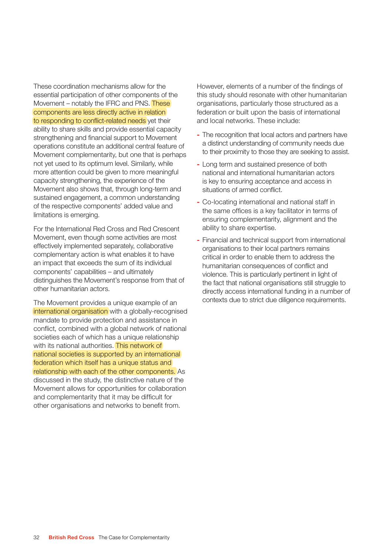These coordination mechanisms allow for the essential participation of other components of the Movement – notably the IFRC and PNS. These components are less directly active in relation to responding to conflict-related needs yet their ability to share skills and provide essential capacity strengthening and financial support to Movement operations constitute an additional central feature of Movement complementarity, but one that is perhaps not yet used to its optimum level. Similarly, while more attention could be given to more meaningful capacity strengthening, the experience of the Movement also shows that, through long-term and sustained engagement, a common understanding of the respective components' added value and limitations is emerging.

For the International Red Cross and Red Crescent Movement, even though some activities are most effectively implemented separately, collaborative complementary action is what enables it to have an impact that exceeds the sum of its individual components' capabilities – and ultimately distinguishes the Movement's response from that of other humanitarian actors.

The Movement provides a unique example of an international organisation with a globally-recognised mandate to provide protection and assistance in conflict, combined with a global network of national societies each of which has a unique relationship with its national authorities. This network of national societies is supported by an international federation which itself has a unique status and relationship with each of the other components. As discussed in the study, the distinctive nature of the Movement allows for opportunities for collaboration and complementarity that it may be difficult for other organisations and networks to benefit from.

However, elements of a number of the findings of this study should resonate with other humanitarian organisations, particularly those structured as a federation or built upon the basis of international and local networks. These include:

- The recognition that local actors and partners have a distinct understanding of community needs due to their proximity to those they are seeking to assist.
- Long term and sustained presence of both national and international humanitarian actors is key to ensuring acceptance and access in situations of armed conflict.
- Co-locating international and national staff in the same offices is a key facilitator in terms of ensuring complementarity, alignment and the ability to share expertise.
- Financial and technical support from international organisations to their local partners remains critical in order to enable them to address the humanitarian consequences of conflict and violence. This is particularly pertinent in light of the fact that national organisations still struggle to directly access international funding in a number of contexts due to strict due diligence requirements.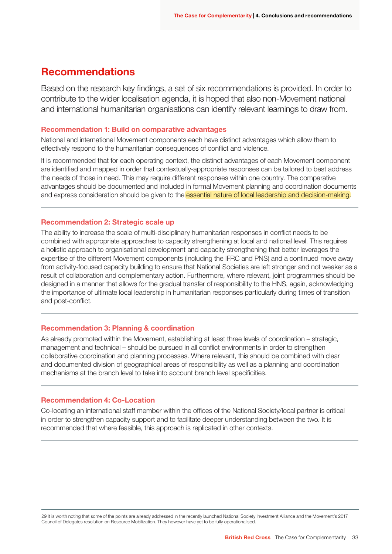### Recommendations

Based on the research key findings, a set of six recommendations is provided. In order to contribute to the wider localisation agenda, it is hoped that also non-Movement national and international humanitarian organisations can identify relevant learnings to draw from.

#### Recommendation 1: Build on comparative advantages

National and international Movement components each have distinct advantages which allow them to effectively respond to the humanitarian consequences of conflict and violence.

It is recommended that for each operating context, the distinct advantages of each Movement component are identified and mapped in order that contextually-appropriate responses can be tailored to best address the needs of those in need. This may require different responses within one country. The comparative advantages should be documented and included in formal Movement planning and coordination documents and express consideration should be given to the essential nature of local leadership and decision-making.

#### Recommendation 2: Strategic scale up

The ability to increase the scale of multi-disciplinary humanitarian responses in conflict needs to be combined with appropriate approaches to capacity strengthening at local and national level. This requires a holistic approach to organisational development and capacity strengthening that better leverages the expertise of the different Movement components (including the IFRC and PNS) and a continued move away from activity-focused capacity building to ensure that National Societies are left stronger and not weaker as a result of collaboration and complementary action. Furthermore, where relevant, joint programmes should be designed in a manner that allows for the gradual transfer of responsibility to the HNS, again, acknowledging the importance of ultimate local leadership in humanitarian responses particularly during times of transition and post-conflict.

#### Recommendation 3: Planning & coordination

As already promoted within the Movement, establishing at least three levels of coordination – strategic, management and technical – should be pursued in all conflict environments in order to strengthen collaborative coordination and planning processes. Where relevant, this should be combined with clear and documented division of geographical areas of responsibility as well as a planning and coordination mechanisms at the branch level to take into account branch level specificities.

#### Recommendation 4: Co-Location

Co-locating an international staff member within the offices of the National Society/local partner is critical in order to strengthen capacity support and to facilitate deeper understanding between the two. It is recommended that where feasible, this approach is replicated in other contexts.

29 It is worth noting that some of the points are already addressed in the recently launched National Society Investment Alliance and the Movement's 2017 Council of Delegates resolution on Resource Mobilization. They however have yet to be fully operationalised.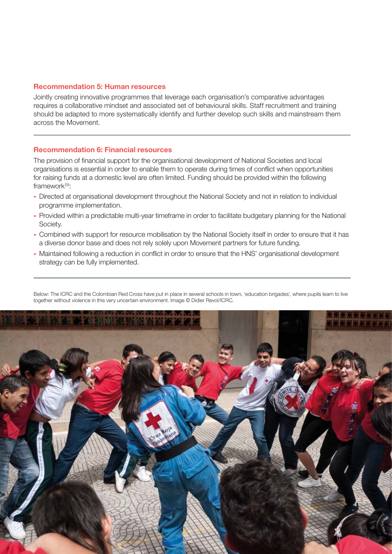#### Recommendation 5: Human resources

Jointly creating innovative programmes that leverage each organisation's comparative advantages requires a collaborative mindset and associated set of behavioural skills. Staff recruitment and training should be adapted to more systematically identify and further develop such skills and mainstream them across the Movement.

#### Recommendation 6: Financial resources

The provision of financial support for the organisational development of National Societies and local organisations is essential in order to enable them to operate during times of conflict when opportunities for raising funds at a domestic level are often limited. Funding should be provided within the following framework<sup>29</sup>:

- Directed at organisational development throughout the National Society and not in relation to individual programme implementation.
- Provided within a predictable multi-year timeframe in order to facilitate budgetary planning for the National Society.
- Combined with support for resource mobilisation by the National Society itself in order to ensure that it has a diverse donor base and does not rely solely upon Movement partners for future funding.
- Maintained following a reduction in conflict in order to ensure that the HNS' organisational development strategy can be fully implemented.

Below: The ICRC and the Colombian Red Cross have put in place in several schools in town, 'education brigades', where pupils learn to live together without violence in this very uncertain environment. Image © Didier Revol/ICRC.

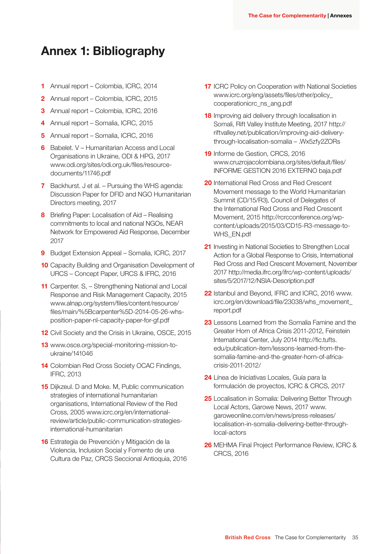# Annex 1: Bibliography

- 1 Annual report Colombia, ICRC, 2014
- 2 Annual report Colombia, ICRC, 2015
- 3 Annual report Colombia, ICRC, 2016
- 4 Annual report Somalia, ICRC, 2015
- 5 Annual report Somalia, ICRC, 2016
- 6 Babelet. V Humanitarian Access and Local Organisations in Ukraine, ODI & HPG, 2017 www.odi.org/sites/odi.org.uk/files/resourcedocuments/11746.pdf
- 7 Backhurst. J et al. Pursuing the WHS agenda: Discussion Paper for DFID and NGO Humanitarian Directors meeting, 2017
- 8 Briefing Paper: Localisation of Aid Realising commitments to local and national NGOs, NEAR Network for Empowered Aid Response, December 2017
- 9 Budget Extension Appeal Somalia, ICRC, 2017
- **10** Capacity Building and Organisation Development of URCS – Concept Paper, URCS & IFRC, 2016
- 11 Carpenter. S. Strengthening National and Local Response and Risk Management Capacity, 2015 www.alnap.org/system/files/content/resource/ files/main/%5Bcarpenter%5D-2014-05-26-whsposition-paper-nl-capacity-paper-for-gf.pdf
- 12 Civil Society and the Crisis in Ukraine, OSCE, 2015
- 13 www.osce.org/special-monitoring-mission-toukraine/141046
- 14 Colombian Red Cross Society OCAC Findings, IFRC, 2013
- **15** Diikzeul. D and Moke. M. Public communication strategies of international humanitarian organisations, International Review of the Red Cross, 2005 www.icrc.org/en/internationalreview/article/public-communication-strategiesinternational-humanitarian
- 16 Estrategia de Prevención y Mitigación de la Violencia, Inclusion Social y Fomento de una Cultura de Paz, CRCS Seccional Antioquia, 2016
- **17 ICRC Policy on Cooperation with National Societies** www.icrc.org/eng/assets/files/other/policy\_ cooperationicrc\_ns\_ang.pdf
- 18 Improving aid delivery through localisation in Somali, Rift Valley Institute Meeting, 2017 http:// riftvalley.net/publication/improving-aid-deliverythrough-localisation-somalia – .Wx5zfy2ZORs
- 19 Informe de Gestion, CRCS, 2016 www.cruzrojacolombiana.org/sites/default/files/ INFORME GESTION 2016 EXTERNO baja.pdf
- 20 International Red Cross and Red Crescent Movement message to the World Humanitarian Summit (CD/15/R3), Council of Delegates of the International Red Cross and Red Crescent Movement, 2015 http://rcrcconference.org/wpcontent/uploads/2015/03/CD15-R3-message-to-WHS\_EN.pdf
- 21 Investing in National Societies to Strengthen Local Action for a Global Response to Crisis, International Red Cross and Red Crescent Movement, November 2017 http://media.ifrc.org/ifrc/wp-content/uploads/ sites/5/2017/12/NSIA-Description.pdf
- 22 Istanbul and Beyond, IFRC and ICRC, 2016 www. icrc.org/en/download/file/23038/whs\_movement\_ report.pdf
- 23 Lessons Learned from the Somalia Famine and the Greater Horn of Africa Crisis 2011-2012, Feinstein International Center, July 2014 http://fic.tufts. edu/publication-item/lessons-learned-from-thesomalia-famine-and-the-greater-horn-of-africacrisis-2011-2012/
- 24 Línea de Iniciativas Locales, Guía para la formulación de proyectos, ICRC & CRCS, 2017
- 25 Localisation in Somalia: Delivering Better Through Local Actors, Garowe News, 2017 www. garoweonline.com/en/news/press-releases/ localisation-in-somalia-delivering-better-throughlocal-actors
- 26 MEHMA Final Project Performance Review, ICRC & CRCS, 2016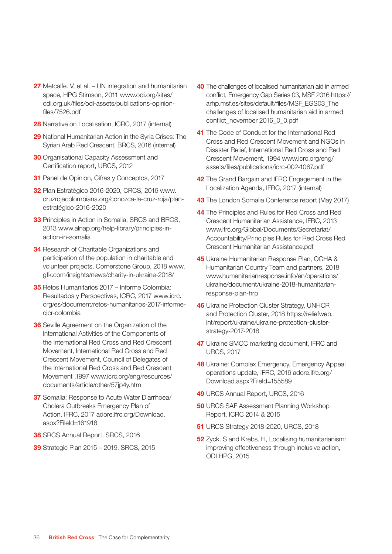- 27 Metcalfe. V, et al. UN integration and humanitarian space, HPG Stimson, 2011 www.odi.org/sites/ odi.org.uk/files/odi-assets/publications-opinionfiles/7526.pdf
- 28 Narrative on Localisation, ICRC, 2017 (internal)
- 29 National Humanitarian Action in the Syria Crises: The Syrian Arab Red Crescent, BRCS, 2016 (internal)
- **30** Organisational Capacity Assessment and Certification report, URCS, 2012
- 31 Panel de Opinion, Cifras y Conceptos, 2017
- 32 Plan Estratégico 2016-2020, CRCS, 2016 www. cruzrojacolombiana.org/conozca-la-cruz-roja/planestratégico-2016-2020
- **33** Principles in Action in Somalia, SRCS and BRCS, 2013 www.alnap.org/help-library/principles-inaction-in-somalia
- **34** Research of Charitable Organizations and participation of the population in charitable and volunteer projects, Cornerstone Group, 2018 www. gfk.com/insights/news/charity-in-ukraine-2018/
- 35 Retos Humanitarios 2017 Informe Colombia: Resultados y Perspectivas, ICRC, 2017 www.icrc. org/es/document/retos-humanitarios-2017-informecicr-colombia
- **36** Seville Agreement on the Organization of the International Activities of the Components of the International Red Cross and Red Crescent Movement, International Red Cross and Red Crescent Movement, Council of Delegates of the International Red Cross and Red Crescent Movement ,1997 www.icrc.org/eng/resources/ documents/article/other/57jp4y.htm
- **37** Somalia: Response to Acute Water Diarrhoea/ Cholera Outbreaks Emergency Plan of Action, IFRC, 2017 adore.ifrc.org/Download. aspx?FileId=161918
- 38 SRCS Annual Report, SRCS, 2016
- 39 Strategic Plan 2015 2019, SRCS, 2015
- 40 The challenges of localised humanitarian aid in armed conflict, Emergency Gap Series 03, MSF 2016 https:// arhp.msf.es/sites/default/files/MSF\_EGS03\_The challenges of localised humanitarian aid in armed conflict\_november 2016\_0\_0.pdf
- 41 The Code of Conduct for the International Red Cross and Red Crescent Movement and NGOs in Disaster Relief, International Red Cross and Red Crescent Movement, 1994 www.icrc.org/eng/ assets/files/publications/icrc-002-1067.pdf
- **42** The Grand Bargain and IFRC Engagement in the Localization Agenda, IFRC, 2017 (internal)
- **43** The London Somalia Conference report (May 2017)
- 44 The Principles and Rules for Red Cross and Red Crescent Humanitarian Assistance, IFRC, 2013 www.ifrc.org/Global/Documents/Secretariat/ Accountability/Principles Rules for Red Cross Red Crescent Humanitarian Assistance.pdf
- 45 Ukraine Humanitarian Response Plan, OCHA & Humanitarian Country Team and partners, 2018 www.humanitarianresponse.info/en/operations/ ukraine/document/ukraine-2018-humanitarianresponse-plan-hrp
- 46 Ukraine Protection Cluster Strategy, UNHCR and Protection Cluster, 2018 https://reliefweb. int/report/ukraine/ukraine-protection-clusterstrategy-2017-2018
- 47 Ukraine SMCC marketing document, IFRC and URCS, 2017
- **48** Ukraine: Complex Emergency, Emergency Appeal operations update, IFRC, 2016 adore.ifrc.org/ Download.aspx?FileId=155589
- 49 URCS Annual Report, URCS, 2016
- **50 URCS SAF Assessment Planning Workshop** Report, ICRC 2014 & 2015
- 51 URCS Strategy 2018-2020, URCS, 2018
- **52** Zyck. S and Krebs. H, Localising humanitarianism: improving effectiveness through inclusive action, ODI HPG, 2015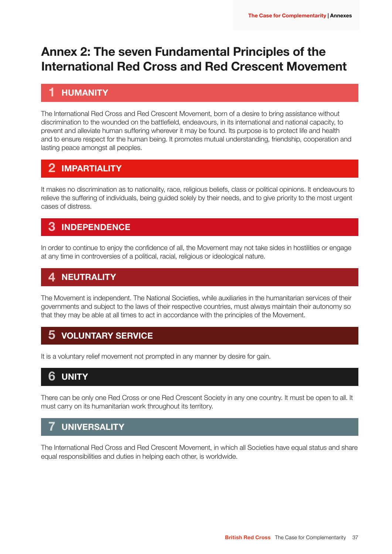# Annex 2: The seven Fundamental Principles of the International Red Cross and Red Crescent Movement

#### HUMANITY 1

The International Red Cross and Red Crescent Movement, born of a desire to bring assistance without discrimination to the wounded on the battlefield, endeavours, in its international and national capacity, to prevent and alleviate human suffering wherever it may be found. Its purpose is to protect life and health and to ensure respect for the human being. It promotes mutual understanding, friendship, cooperation and lasting peace amongst all peoples.

# 2 IMPARTIALITY

It makes no discrimination as to nationality, race, religious beliefs, class or political opinions. It endeavours to relieve the suffering of individuals, being guided solely by their needs, and to give priority to the most urgent cases of distress.

# 3 INDEPENDENCE

In order to continue to enjoy the confidence of all, the Movement may not take sides in hostilities or engage at any time in controversies of a political, racial, religious or ideological nature.

# 4 NEUTRALITY

The Movement is independent. The National Societies, while auxiliaries in the humanitarian services of their governments and subject to the laws of their respective countries, must always maintain their autonomy so that they may be able at all times to act in accordance with the principles of the Movement.

# 5 VOLUNTARY SERVICE

It is a voluntary relief movement not prompted in any manner by desire for gain.

# **6 UNITY**

There can be only one Red Cross or one Red Crescent Society in any one country. It must be open to all. It must carry on its humanitarian work throughout its territory.

#### **UNIVERSALITY** 7

The International Red Cross and Red Crescent Movement, in which all Societies have equal status and share equal responsibilities and duties in helping each other, is worldwide.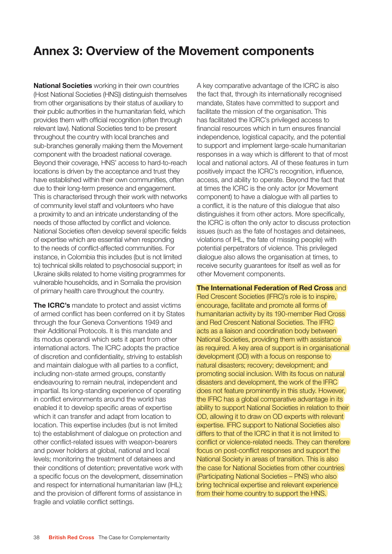# Annex 3: Overview of the Movement components

**National Societies** working in their own countries (Host National Societies (HNS)) distinguish themselves from other organisations by their status of auxiliary to their public authorities in the humanitarian field, which provides them with official recognition (often through relevant law). National Societies tend to be present throughout the country with local branches and sub-branches generally making them the Movement component with the broadest national coverage. Beyond their coverage, HNS' access to hard-to-reach locations is driven by the acceptance and trust they have established within their own communities, often due to their long-term presence and engagement. This is characterised through their work with networks of community level staff and volunteers who have a proximity to and an intricate understanding of the needs of those affected by conflict and violence. National Societies often develop several specific fields of expertise which are essential when responding to the needs of conflict-affected communities. For instance, in Colombia this includes (but is not limited to) technical skills related to psychosocial support; in Ukraine skills related to home visiting programmes for vulnerable households, and in Somalia the provision of primary health care throughout the country.

The ICRC's mandate to protect and assist victims of armed conflict has been conferred on it by States through the four Geneva Conventions 1949 and their Additional Protocols. It is this mandate and its modus operandi which sets it apart from other international actors. The ICRC adopts the practice of discretion and confidentiality, striving to establish and maintain dialogue with all parties to a conflict, including non-state armed groups, constantly endeavouring to remain neutral, independent and impartial. Its long-standing experience of operating in conflict environments around the world has enabled it to develop specific areas of expertise which it can transfer and adapt from location to location. This expertise includes (but is not limited to) the establishment of dialogue on protection and other conflict-related issues with weapon-bearers and power holders at global, national and local levels; monitoring the treatment of detainees and their conditions of detention; preventative work with a specific focus on the development, dissemination and respect for international humanitarian law (IHL); and the provision of different forms of assistance in fragile and volatile conflict settings.

A key comparative advantage of the ICRC is also the fact that, through its internationally recognised mandate, States have committed to support and facilitate the mission of the organisation. This has facilitated the ICRC's privileged access to financial resources which in turn ensures financial independence, logistical capacity, and the potential to support and implement large-scale humanitarian responses in a way which is different to that of most local and national actors. All of these features in turn positively impact the ICRC's recognition, influence, access, and ability to operate. Beyond the fact that at times the ICRC is the only actor (or Movement component) to have a dialogue with all parties to a conflict, it is the nature of this dialogue that also distinguishes it from other actors. More specifically, the ICRC is often the only actor to discuss protection issues (such as the fate of hostages and detainees, violations of IHL, the fate of missing people) with potential perpetrators of violence. This privileged dialogue also allows the organisation at times, to receive security guarantees for itself as well as for other Movement components.

#### The International Federation of Red Cross and

Red Crescent Societies (IFRC)'s role is to inspire, encourage, facilitate and promote all forms of humanitarian activity by its 190-member Red Cross and Red Crescent National Societies. The IFRC acts as a liaison and coordination body between National Societies, providing them with assistance as required. A key area of support is in organisational development (OD) with a focus on response to natural disasters; recovery; development; and promoting social inclusion. With its focus on natural disasters and development, the work of the IFRC does not feature prominently in this study. However, the IFRC has a global comparative advantage in its ability to support National Societies in relation to their OD, allowing it to draw on OD experts with relevant expertise. IFRC support to National Societies also differs to that of the ICRC in that it is not limited to conflict or violence-related needs. They can therefore focus on post-conflict responses and support the National Society in areas of transition. This is also the case for National Societies from other countries (Participating National Societies – PNS) who also bring technical expertise and relevant experience from their home country to support the HNS.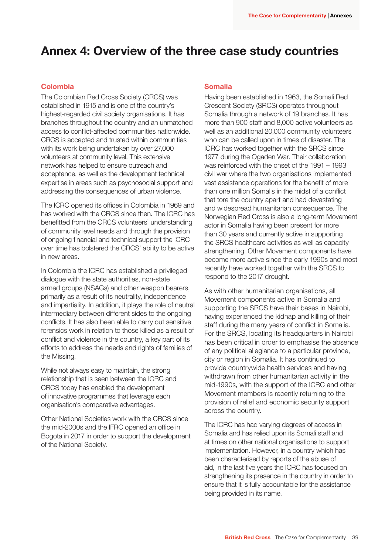# Annex 4: Overview of the three case study countries

#### Colombia

The Colombian Red Cross Society (CRCS) was established in 1915 and is one of the country's highest-regarded civil society organisations. It has branches throughout the country and an unmatched access to conflict-affected communities nationwide. CRCS is accepted and trusted within communities with its work being undertaken by over 27,000 volunteers at community level. This extensive network has helped to ensure outreach and acceptance, as well as the development technical expertise in areas such as psychosocial support and addressing the consequences of urban violence.

The ICRC opened its offices in Colombia in 1969 and has worked with the CRCS since then. The ICRC has benefitted from the CRCS volunteers' understanding of community level needs and through the provision of ongoing financial and technical support the ICRC over time has bolstered the CRCS' ability to be active in new areas.

In Colombia the ICRC has established a privileged dialogue with the state authorities, non-state armed groups (NSAGs) and other weapon bearers, primarily as a result of its neutrality, independence and impartiality. In addition, it plays the role of neutral intermediary between different sides to the ongoing conflicts. It has also been able to carry out sensitive forensics work in relation to those killed as a result of conflict and violence in the country, a key part of its efforts to address the needs and rights of families of the Missing.

While not always easy to maintain, the strong relationship that is seen between the ICRC and CRCS today has enabled the development of innovative programmes that leverage each organisation's comparative advantages.

Other National Societies work with the CRCS since the mid-2000s and the IFRC opened an office in Bogota in 2017 in order to support the development of the National Society.

#### Somalia

Having been established in 1963, the Somali Red Crescent Society (SRCS) operates throughout Somalia through a network of 19 branches. It has more than 900 staff and 8,000 active volunteers as well as an additional 20,000 community volunteers who can be called upon in times of disaster. The ICRC has worked together with the SRCS since 1977 during the Ogaden War. Their collaboration was reinforced with the onset of the 1991 – 1993 civil war where the two organisations implemented vast assistance operations for the benefit of more than one million Somalis in the midst of a conflict that tore the country apart and had devastating and widespread humanitarian consequence. The Norwegian Red Cross is also a long-term Movement actor in Somalia having been present for more than 30 years and currently active in supporting the SRCS healthcare activities as well as capacity strengthening. Other Movement components have become more active since the early 1990s and most recently have worked together with the SRCS to respond to the 2017 drought.

As with other humanitarian organisations, all Movement components active in Somalia and supporting the SRCS have their bases in Nairobi, having experienced the kidnap and killing of their staff during the many years of conflict in Somalia. For the SRCS, locating its headquarters in Nairobi has been critical in order to emphasise the absence of any political allegiance to a particular province, city or region in Somalia. It has continued to provide countrywide health services and having withdrawn from other humanitarian activity in the mid-1990s, with the support of the ICRC and other Movement members is recently returning to the provision of relief and economic security support across the country.

The ICRC has had varying degrees of access in Somalia and has relied upon its Somali staff and at times on other national organisations to support implementation. However, in a country which has been characterised by reports of the abuse of aid, in the last five years the ICRC has focused on strengthening its presence in the country in order to ensure that it is fully accountable for the assistance being provided in its name.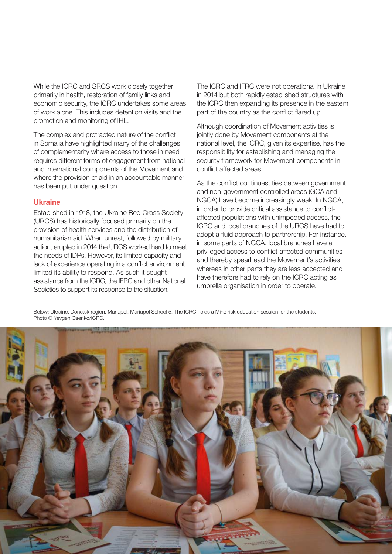While the ICRC and SRCS work closely together primarily in health, restoration of family links and economic security, the ICRC undertakes some areas of work alone. This includes detention visits and the promotion and monitoring of IHL.

The complex and protracted nature of the conflict in Somalia have highlighted many of the challenges of complementarity where access to those in need requires different forms of engagement from national and international components of the Movement and where the provision of aid in an accountable manner has been put under question.

#### **Ukraine**

Established in 1918, the Ukraine Red Cross Society (URCS) has historically focused primarily on the provision of health services and the distribution of humanitarian aid. When unrest, followed by military action, erupted in 2014 the URCS worked hard to meet the needs of IDPs. However, its limited capacity and lack of experience operating in a conflict environment limited its ability to respond. As such it sought assistance from the ICRC, the IFRC and other National Societies to support its response to the situation.

The ICRC and IFRC were not operational in Ukraine in 2014 but both rapidly established structures with the ICRC then expanding its presence in the eastern part of the country as the conflict flared up.

Although coordination of Movement activities is jointly done by Movement components at the national level, the ICRC, given its expertise, has the responsibility for establishing and managing the security framework for Movement components in conflict affected areas.

As the conflict continues, ties between government and non-government controlled areas (GCA and NGCA) have become increasingly weak. In NGCA, in order to provide critical assistance to conflictaffected populations with unimpeded access, the ICRC and local branches of the URCS have had to adopt a fluid approach to partnership. For instance, in some parts of NGCA, local branches have a privileged access to conflict-affected communities and thereby spearhead the Movement's activities whereas in other parts they are less accepted and have therefore had to rely on the ICRC acting as umbrella organisation in order to operate.

Below: Ukraine, Donetsk region, Mariupol, Mariupol School 5. The ICRC holds a Mine risk education session for the students. Photo © Yevgen Osenko/ICRC.

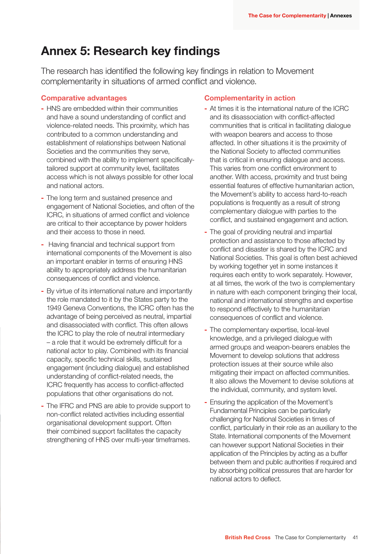# Annex 5: Research key findings

The research has identified the following key findings in relation to Movement complementarity in situations of armed conflict and violence.

#### Comparative advantages

- HNS are embedded within their communities and have a sound understanding of conflict and violence-related needs. This proximity, which has contributed to a common understanding and establishment of relationships between National Societies and the communities they serve, combined with the ability to implement specificallytailored support at community level, facilitates access which is not always possible for other local and national actors.
- The long term and sustained presence and engagement of National Societies, and often of the ICRC, in situations of armed conflict and violence are critical to their acceptance by power holders and their access to those in need.
- Having financial and technical support from international components of the Movement is also an important enabler in terms of ensuring HNS ability to appropriately address the humanitarian consequences of conflict and violence.
- By virtue of its international nature and importantly the role mandated to it by the States party to the 1949 Geneva Conventions, the ICRC often has the advantage of being perceived as neutral, impartial and disassociated with conflict. This often allows the ICRC to play the role of neutral intermediary – a role that it would be extremely difficult for a national actor to play. Combined with its financial capacity, specific technical skills, sustained engagement (including dialogue) and established understanding of conflict-related needs, the ICRC frequently has access to conflict-affected populations that other organisations do not.
- The IFRC and PNS are able to provide support to non-conflict related activities including essential organisational development support. Often their combined support facilitates the capacity strengthening of HNS over multi-year timeframes.

#### Complementarity in action

- At times it is the international nature of the ICRC and its disassociation with conflict-affected communities that is critical in facilitating dialogue with weapon bearers and access to those affected. In other situations it is the proximity of the National Society to affected communities that is critical in ensuring dialogue and access. This varies from one conflict environment to another. With access, proximity and trust being essential features of effective humanitarian action, the Movement's ability to access hard-to-reach populations is frequently as a result of strong complementary dialogue with parties to the conflict, and sustained engagement and action.
- The goal of providing neutral and impartial protection and assistance to those affected by conflict and disaster is shared by the ICRC and National Societies. This goal is often best achieved by working together yet in some instances it requires each entity to work separately. However, at all times, the work of the two is complementary in nature with each component bringing their local, national and international strengths and expertise to respond effectively to the humanitarian consequences of conflict and violence.
- The complementary expertise, local-level knowledge, and a privileged dialogue with armed groups and weapon-bearers enables the Movement to develop solutions that address protection issues at their source while also mitigating their impact on affected communities. It also allows the Movement to devise solutions at the individual, community, and system level.
- Ensuring the application of the Movement's Fundamental Principles can be particularly challenging for National Societies in times of conflict, particularly in their role as an auxiliary to the State. International components of the Movement can however support National Societies in their application of the Principles by acting as a buffer between them and public authorities if required and by absorbing political pressures that are harder for national actors to deflect.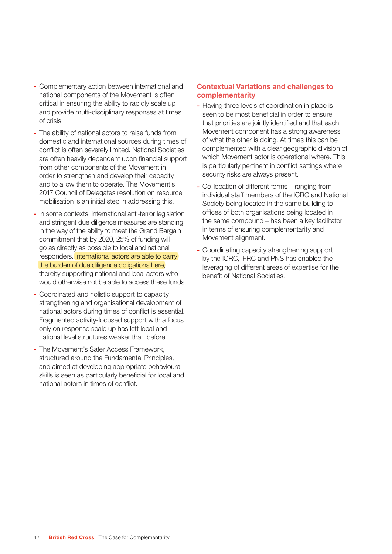- Complementary action between international and national components of the Movement is often critical in ensuring the ability to rapidly scale up and provide multi-disciplinary responses at times of crisis.
- The ability of national actors to raise funds from domestic and international sources during times of conflict is often severely limited. National Societies are often heavily dependent upon financial support from other components of the Movement in order to strengthen and develop their capacity and to allow them to operate. The Movement's 2017 Council of Delegates resolution on resource mobilisation is an initial step in addressing this.
- In some contexts, international anti-terror legislation and stringent due diligence measures are standing in the way of the ability to meet the Grand Bargain commitment that by 2020, 25% of funding will go as directly as possible to local and national responders. International actors are able to carry the burden of due diligence obligations here, thereby supporting national and local actors who would otherwise not be able to access these funds.
- Coordinated and holistic support to capacity strengthening and organisational development of national actors during times of conflict is essential. Fragmented activity-focused support with a focus only on response scale up has left local and national level structures weaker than before.
- The Movement's Safer Access Framework, structured around the Fundamental Principles, and aimed at developing appropriate behavioural skills is seen as particularly beneficial for local and national actors in times of conflict.

#### Contextual Variations and challenges to complementarity

- Having three levels of coordination in place is seen to be most beneficial in order to ensure that priorities are jointly identified and that each Movement component has a strong awareness of what the other is doing. At times this can be complemented with a clear geographic division of which Movement actor is operational where. This is particularly pertinent in conflict settings where security risks are always present.
- Co-location of different forms ranging from individual staff members of the ICRC and National Society being located in the same building to offices of both organisations being located in the same compound – has been a key facilitator in terms of ensuring complementarity and Movement alignment.
- Coordinating capacity strengthening support by the ICRC, IFRC and PNS has enabled the leveraging of different areas of expertise for the benefit of National Societies.